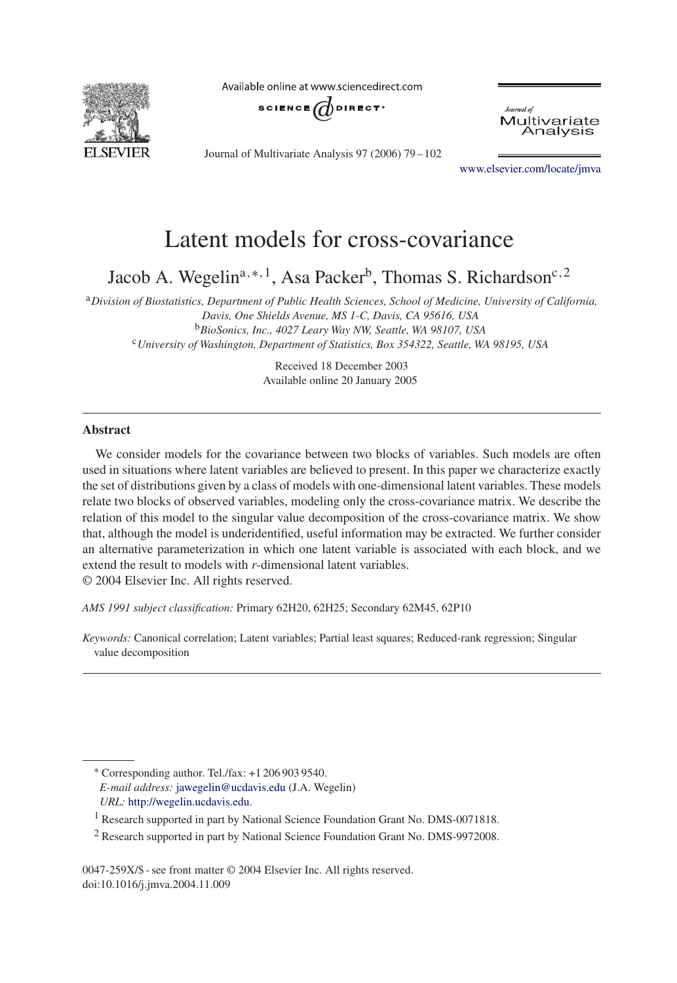

Available online at www.sciencedirect.com



Journal of Multivariate Analysis 97 (2006) 79 – 102



[www.elsevier.com/locate/jmva](http://www.elsevier.com/locate/jmva)

# Latent models for cross-covariance

Jacob A. Wegelin<sup>a,\*,1</sup>, Asa Packer<sup>b</sup>, Thomas S. Richardson<sup>c, 2</sup>

<sup>a</sup>*Division of Biostatistics, Department of Public Health Sciences, School of Medicine, University of California, Davis, One Shields Avenue, MS 1-C, Davis, CA 95616, USA* <sup>b</sup>*BioSonics, Inc., 4027 Leary Way NW, Seattle, WA 98107, USA* <sup>c</sup>*University of Washington, Department of Statistics, Box 354322, Seattle, WA 98195, USA*

> Received 18 December 2003 Available online 20 January 2005

## **Abstract**

We consider models for the covariance between two blocks of variables. Such models are often used in situations where latent variables are believed to present. In this paper we characterize exactly the set of distributions given by a class of models with one-dimensional latent variables. These models relate two blocks of observed variables, modeling only the cross-covariance matrix. We describe the relation of this model to the singular value decomposition of the cross-covariance matrix. We show that, although the model is underidentified, useful information may be extracted. We further consider an alternative parameterization in which one latent variable is associated with each block, and we extend the result to models with *r*-dimensional latent variables.

© 2004 Elsevier Inc. All rights reserved.

*AMS 1991 subject classification:* Primary 62H20, 62H25; Secondary 62M45, 62P10

*Keywords:* Canonical correlation; Latent variables; Partial least squares; Reduced-rank regression; Singular value decomposition

<sup>∗</sup> Corresponding author. Tel./fax: +1 206 903 9540. *E-mail address:* [jawegelin@ucdavis.edu](mailto:jawegelin@ucdavis.edu) (J.A. Wegelin) *URL:* [http://wegelin.ucdavis.edu.](http://wegelin.ucdavis.edu)

0047-259X/\$ - see front matter © 2004 Elsevier Inc. All rights reserved. doi:10.1016/j.jmva.2004.11.009

<sup>1</sup> Research supported in part by National Science Foundation Grant No. DMS-0071818.

<sup>&</sup>lt;sup>2</sup> Research supported in part by National Science Foundation Grant No. DMS-9972008.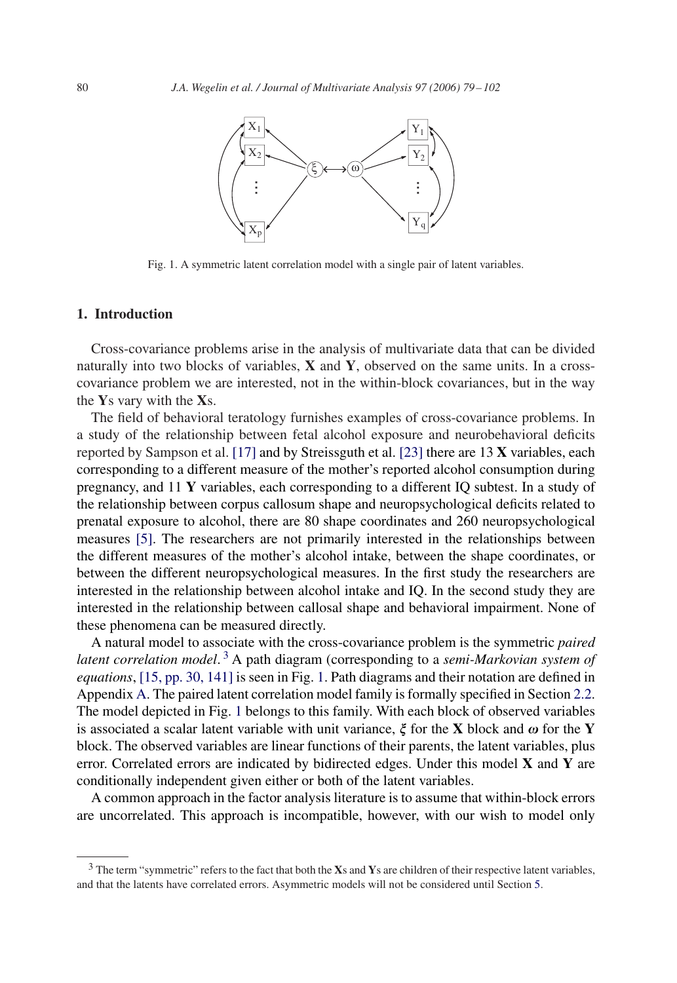<span id="page-1-0"></span>

Fig. 1. A symmetric latent correlation model with a single pair of latent variables.

## **1. Introduction**

Cross-covariance problems arise in the analysis of multivariate data that can be divided naturally into two blocks of variables, **X** and **Y**, observed on the same units. In a crosscovariance problem we are interested, not in the within-block covariances, but in the way the **Y**s vary with the **X**s.

The field of behavioral teratology furnishes examples of cross-covariance problems. In a study of the relationship between fetal alcohol exposure and neurobehavioral deficits reported by Sampson et al. [\[17\]](#page-22-0) and by Streissguth et al. [\[23\]](#page-22-0) there are 13 **X** variables, each corresponding to a different measure of the mother's reported alcohol consumption during pregnancy, and 11 **Y** variables, each corresponding to a different IQ subtest. In a study of the relationship between corpus callosum shape and neuropsychological deficits related to prenatal exposure to alcohol, there are 80 shape coordinates and 260 neuropsychological measures [\[5\].](#page-22-0) The researchers are not primarily interested in the relationships between the different measures of the mother's alcohol intake, between the shape coordinates, or between the different neuropsychological measures. In the first study the researchers are interested in the relationship between alcohol intake and IQ. In the second study they are interested in the relationship between callosal shape and behavioral impairment. None of these phenomena can be measured directly.

A natural model to associate with the cross-covariance problem is the symmetric *paired latent correlation model*. <sup>3</sup> A path diagram (corresponding to a *semi-Markovian system of equations*, [\[15, pp. 30, 141\]](#page-22-0) is seen in Fig. 1. Path diagrams and their notation are defined in Appendix [A.](#page-21-0) The paired latent correlation model family is formally specified in Section [2.2.](#page-3-0) The model depicted in Fig. 1 belongs to this family. With each block of observed variables is associated a scalar latent variable with unit variance,  $\xi$  for the **X** block and  $\omega$  for the **Y** block. The observed variables are linear functions of their parents, the latent variables, plus error. Correlated errors are indicated by bidirected edges. Under this model **X** and **Y** are conditionally independent given either or both of the latent variables.

A common approach in the factor analysis literature is to assume that within-block errors are uncorrelated. This approach is incompatible, however, with our wish to model only

<sup>3</sup> The term "symmetric" refers to the fact that both the **X**s and **Y**s are children of their respective latent variables, and that the latents have correlated errors. Asymmetric models will not be considered until Section [5.](#page-13-0)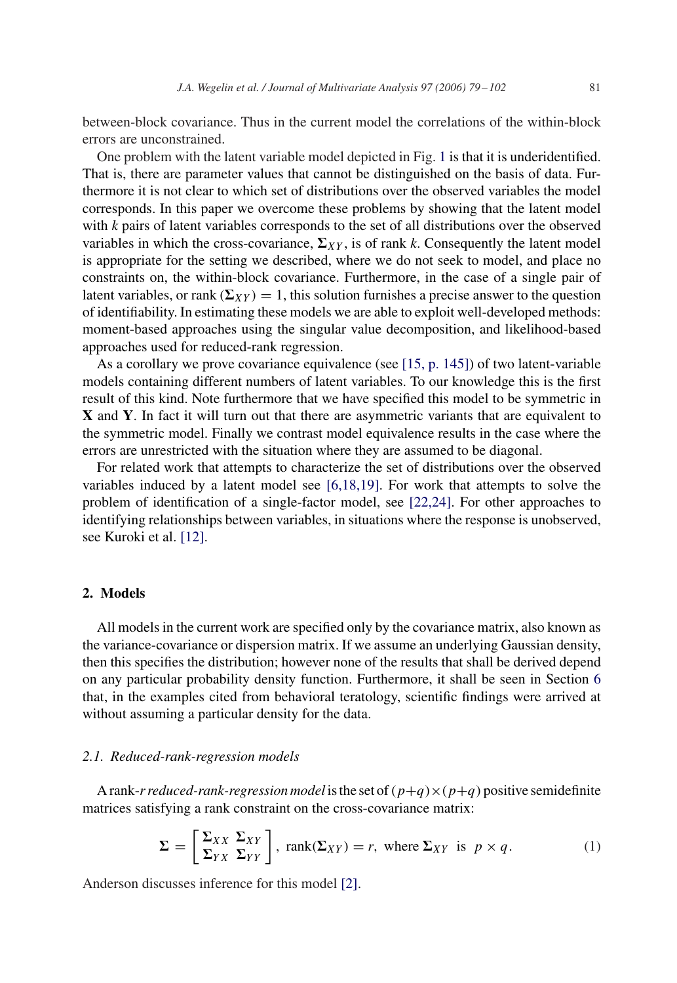<span id="page-2-0"></span>between-block covariance. Thus in the current model the correlations of the within-block errors are unconstrained.

One problem with the latent variable model depicted in Fig. [1](#page-1-0) is that it is underidentified. That is, there are parameter values that cannot be distinguished on the basis of data. Furthermore it is not clear to which set of distributions over the observed variables the model corresponds. In this paper we overcome these problems by showing that the latent model with *k* pairs of latent variables corresponds to the set of all distributions over the observed variables in which the cross-covariance,  $\Sigma_{XY}$ , is of rank *k*. Consequently the latent model is appropriate for the setting we described, where we do not seek to model, and place no constraints on, the within-block covariance. Furthermore, in the case of a single pair of latent variables, or rank  $(\Sigma_{XY}) = 1$ , this solution furnishes a precise answer to the question of identifiability. In estimating these models we are able to exploit well-developed methods: moment-based approaches using the singular value decomposition, and likelihood-based approaches used for reduced-rank regression.

As a corollary we prove covariance equivalence (see [\[15, p. 145\]\)](#page-22-0) of two latent-variable models containing different numbers of latent variables. To our knowledge this is the first result of this kind. Note furthermore that we have specified this model to be symmetric in **X** and **Y**. In fact it will turn out that there are asymmetric variants that are equivalent to the symmetric model. Finally we contrast model equivalence results in the case where the errors are unrestricted with the situation where they are assumed to be diagonal.

For related work that attempts to characterize the set of distributions over the observed variables induced by a latent model see [\[6,18,19\].](#page-22-0) For work that attempts to solve the problem of identification of a single-factor model, see [\[22,24\].](#page-22-0) For other approaches to identifying relationships between variables, in situations where the response is unobserved, see Kuroki et al. [\[12\].](#page-22-0)

# **2. Models**

All models in the current work are specified only by the covariance matrix, also known as the variance-covariance or dispersion matrix. If we assume an underlying Gaussian density, then this specifies the distribution; however none of the results that shall be derived depend on any particular probability density function. Furthermore, it shall be seen in Section [6](#page-17-0) that, in the examples cited from behavioral teratology, scientific findings were arrived at without assuming a particular density for the data.

#### *2.1. Reduced-rank-regression models*

A rank-*r reduced-rank-regression model* is the set of  $(p+q) \times (p+q)$  positive semidefinite matrices satisfying a rank constraint on the cross-covariance matrix:

$$
\Sigma = \left[ \frac{\Sigma_{XX} \Sigma_{XY}}{\Sigma_{YX} \Sigma_{YY}} \right], \text{ rank}(\Sigma_{XY}) = r, \text{ where } \Sigma_{XY} \text{ is } p \times q. \tag{1}
$$

Anderson discusses inference for this model [\[2\].](#page-22-0)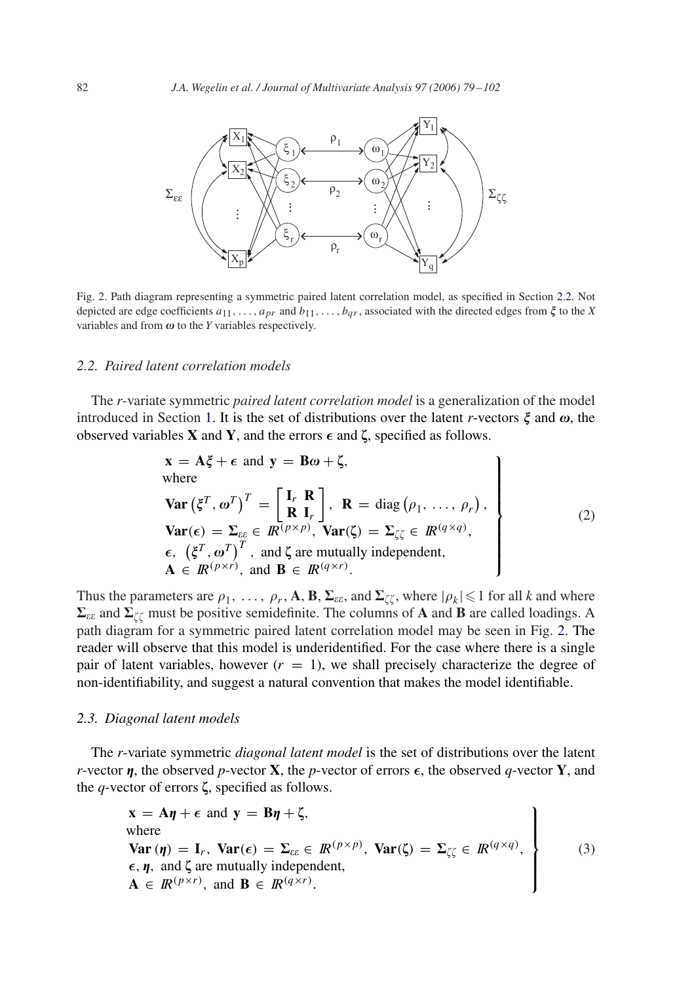<span id="page-3-0"></span>

Fig. 2. Path diagram representing a symmetric paired latent correlation model, as specified in Section 2.2. Not depicted are edge coefficients  $a_{11},...,a_{pr}$  and  $b_{11},...,b_{qr}$ , associated with the directed edges from  $\xi$  to the *X* variables and from  $\omega$  to the *Y* variables respectively.

## *2.2. Paired latent correlation models*

The *r*-variate symmetric *paired latent correlation model* is a generalization of the model introduced in Section [1.](#page-1-0) It is the set of distributions over the latent *r*-vectors  $\xi$  and  $\omega$ , the observed variables **X** and **Y**, and the errors  $\epsilon$  and  $\zeta$ , specified as follows.

$$
\mathbf{x} = \mathbf{A}\xi + \epsilon \text{ and } \mathbf{y} = \mathbf{B}\omega + \zeta,
$$
  
where  

$$
\mathbf{Var}(\xi^T, \omega^T)^T = \begin{bmatrix} \mathbf{I}_r & \mathbf{R} \\ \mathbf{R} & \mathbf{I}_r \end{bmatrix}, \quad \mathbf{R} = \text{diag}(\rho_1, \dots, \rho_r),
$$

$$
\mathbf{Var}(\epsilon) = \Sigma_{\epsilon\epsilon} \in \mathbb{R}^{(p \times p)}, \quad \mathbf{Var}(\zeta) = \Sigma_{\zeta\zeta} \in \mathbb{R}^{(q \times q)},
$$

$$
\epsilon, \quad (\xi^T, \omega^T)^T, \text{ and } \zeta \text{ are mutually independent},
$$

$$
\mathbf{A} \in \mathbb{R}^{(p \times r)}, \text{ and } \mathbf{B} \in \mathbb{R}^{(q \times r)}.
$$

$$
(2)
$$

Thus the parameters are  $\rho_1, \ldots, \rho_r, A, B, \Sigma_{\varepsilon \varepsilon}$ , and  $\Sigma_{\zeta \zeta}$ , where  $|\rho_k| \leq 1$  for all *k* and where  $\Sigma_{\varepsilon\varepsilon}$  and  $\Sigma_{\zeta\zeta}$  must be positive semidefinite. The columns of **A** and **B** are called loadings. A path diagram for a symmetric paired latent correlation model may be seen in Fig. 2. The reader will observe that this model is underidentified. For the case where there is a single pair of latent variables, however  $(r = 1)$ , we shall precisely characterize the degree of non-identifiability, and suggest a natural convention that makes the model identifiable.

## *2.3. Diagonal latent models*

The *r*-variate symmetric *diagonal latent model* is the set of distributions over the latent *r*-vector  $\boldsymbol{\eta}$ , the observed *p*-vector **X**, the *p*-vector of errors  $\boldsymbol{\epsilon}$ , the observed *q*-vector **Y**, and the  $q$ -vector of errors  $\zeta$ , specified as follows.

$$
\mathbf{x} = \mathbf{A}\boldsymbol{\eta} + \boldsymbol{\epsilon} \text{ and } \mathbf{y} = \mathbf{B}\boldsymbol{\eta} + \boldsymbol{\zeta},
$$
  
where  

$$
\text{Var}(\boldsymbol{\eta}) = \mathbf{I}_r, \text{Var}(\boldsymbol{\epsilon}) = \boldsymbol{\Sigma}_{\varepsilon\varepsilon} \in \mathbb{R}^{(p \times p)}, \text{Var}(\boldsymbol{\zeta}) = \boldsymbol{\Sigma}_{\zeta\zeta} \in \mathbb{R}^{(q \times q)},
$$
  

$$
\boldsymbol{\epsilon}, \boldsymbol{\eta}, \text{ and } \boldsymbol{\zeta} \text{ are mutually independent},
$$
  

$$
\mathbf{A} \in \mathbb{R}^{(p \times r)}, \text{ and } \mathbf{B} \in \mathbb{R}^{(q \times r)}.
$$
 (3)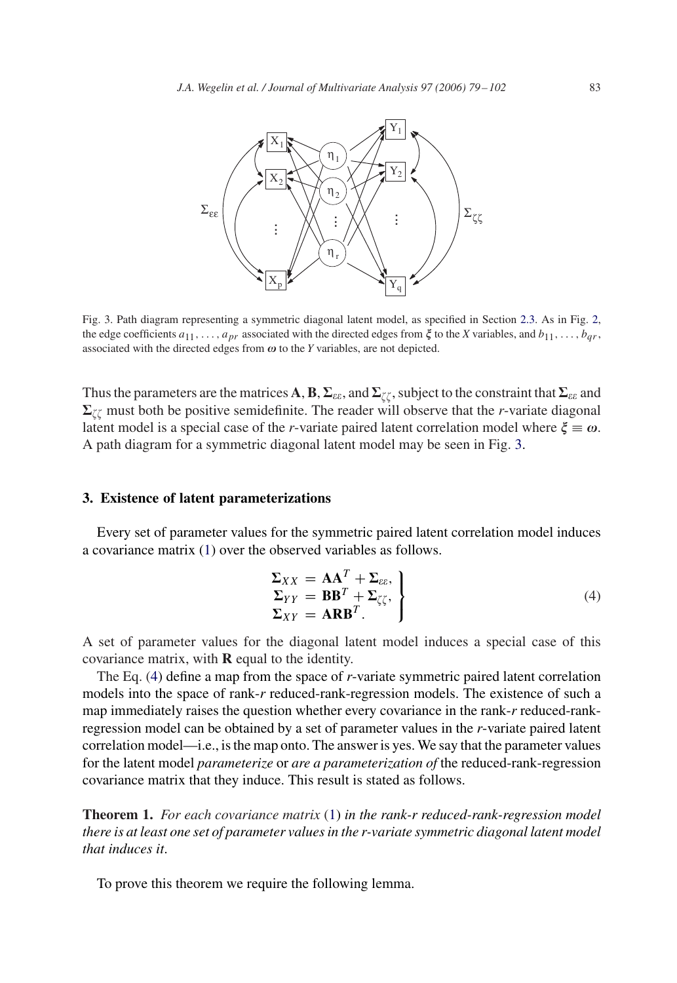<span id="page-4-0"></span>

Fig. 3. Path diagram representing a symmetric diagonal latent model, as specified in Section [2.3.](#page-3-0) As in Fig. [2,](#page-3-0) the edge coefficients  $a_{11}, \ldots, a_{pr}$  associated with the directed edges from  $\xi$  to the *X* variables, and  $b_{11}, \ldots, b_{qr}$ , associated with the directed edges from  $\omega$  to the *Y* variables, are not depicted.

Thus the parameters are the matrices  $\bf A, B, \Sigma_{\epsilon\epsilon},$  and  $\Sigma_{\zeta\zeta},$  subject to the constraint that  $\Sigma_{\epsilon\epsilon}$  and  $\Sigma_{\ell\ell}$  must both be positive semidefinite. The reader will observe that the *r*-variate diagonal latent model is a special case of the *r*-variate paired latent correlation model where  $\xi \equiv \omega$ . A path diagram for a symmetric diagonal latent model may be seen in Fig. 3.

#### **3. Existence of latent parameterizations**

Every set of parameter values for the symmetric paired latent correlation model induces a covariance matrix [\(1\)](#page-2-0) over the observed variables as follows.

$$
\Sigma_{XY} = AA^T + \Sigma_{\varepsilon\varepsilon},
$$
  
\n
$$
\Sigma_{YY} = BB^T + \Sigma_{\zeta\zeta},
$$
  
\n
$$
\Sigma_{XY} = ARB^T.
$$
\n(4)

A set of parameter values for the diagonal latent model induces a special case of this covariance matrix, with **R** equal to the identity.

The Eq. (4) define a map from the space of *r*-variate symmetric paired latent correlation models into the space of rank-*r* reduced-rank-regression models. The existence of such a map immediately raises the question whether every covariance in the rank-*r* reduced-rankregression model can be obtained by a set of parameter values in the *r*-variate paired latent correlation model—i.e., is the map onto. The answer is yes. We say that the parameter values for the latent model *parameterize* or *are a parameterization of* the reduced-rank-regression covariance matrix that they induce. This result is stated as follows.

**Theorem 1.** *For each covariance matrix* [\(1\)](#page-2-0) *in the rank-r reduced-rank-regression model there is at least one set of parameter values in the r-variate symmetric diagonal latent model that induces it*.

To prove this theorem we require the following lemma.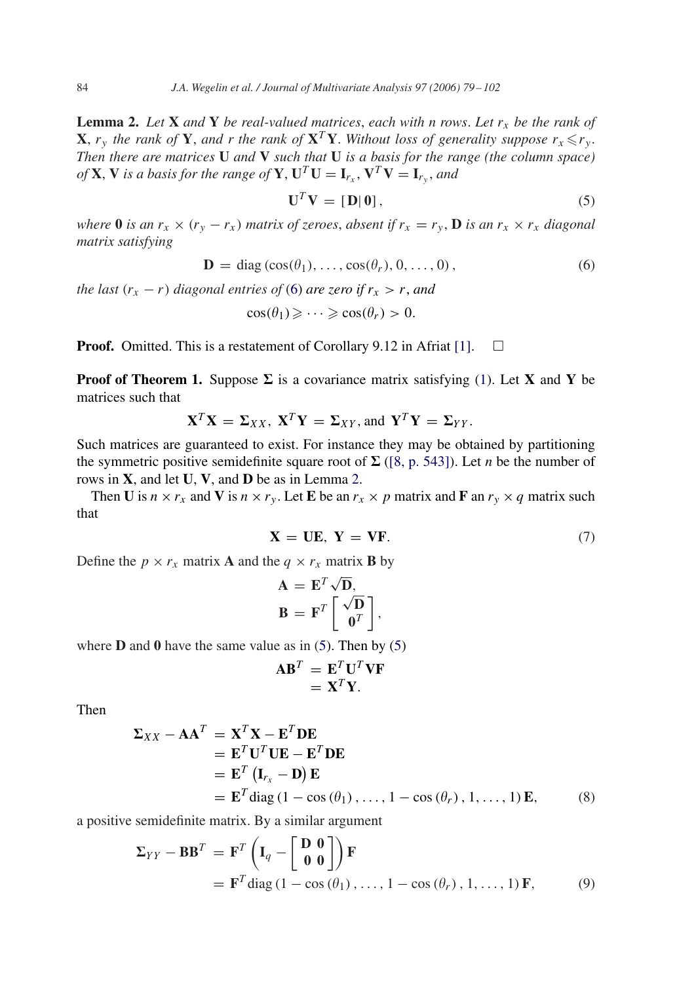<span id="page-5-0"></span>**Lemma 2.** Let **X** and **Y** be real-valued matrices, each with n rows. Let  $r_x$  be the rank of **X**,  $r_y$  the rank of **Y**, and r the rank of **X**<sup>T</sup>**Y**. Without loss of generality suppose  $r_x \leq r_y$ . *Then there are matrices* **U** *and* **V** *such that* **U** *is a basis for the range (the column space)*  $of$ **X**, **V** *is a basis for the range of* **Y**,  $U^T U = I_r$ ,  $V^T V = I_r$ , and

$$
\mathbf{U}^T \mathbf{V} = [\mathbf{D} | \mathbf{0}], \tag{5}
$$

*where* **0** *is an*  $r_x \times (r_y - r_x)$  *matrix of zeroes, absent if*  $r_x = r_y$ , **D** *is an*  $r_x \times r_x$  *diagonal matrix satisfying*

$$
\mathbf{D} = \text{diag}(\cos(\theta_1), \dots, \cos(\theta_r), 0, \dots, 0), \tag{6}
$$

*the last*  $(r_x - r)$  *diagonal entries of* (6) *are zero if*  $r_x > r$ *, and* 

$$
\cos(\theta_1) \geqslant \cdots \geqslant \cos(\theta_r) > 0.
$$

**Proof.** Omitted. This is a restatement of Corollary 9.12 in Afriat [\[1\].](#page-22-0)  $\Box$ 

**Proof of Theorem 1.** Suppose  $\Sigma$  is a covariance matrix satisfying [\(1\)](#page-2-0). Let **X** and **Y** be matrices such that

$$
\mathbf{X}^T \mathbf{X} = \Sigma_{XX}, \ \mathbf{X}^T \mathbf{Y} = \Sigma_{XY}, \text{and } \mathbf{Y}^T \mathbf{Y} = \Sigma_{YY}.
$$

Such matrices are guaranteed to exist. For instance they may be obtained by partitioning the symmetric positive semidefinite square root of  $\Sigma$  [\(\[8, p. 543\]\)](#page-22-0). Let *n* be the number of rows in **X**, and let **U**, **V**, and **D** be as in Lemma 2.

Then **U** is  $n \times r_x$  and **V** is  $n \times r_y$ . Let **E** be an  $r_x \times p$  matrix and **F** an  $r_y \times q$  matrix such that

$$
\mathbf{X} = \mathbf{UE}, \ \mathbf{Y} = \mathbf{VF}.\tag{7}
$$

Define the  $p \times r_x$  matrix **A** and the  $q \times r_x$  matrix **B** by

$$
\mathbf{A} = \mathbf{E}^T \sqrt{\mathbf{D}},
$$

$$
\mathbf{B} = \mathbf{F}^T \begin{bmatrix} \sqrt{\mathbf{D}} \\ \mathbf{0}^T \end{bmatrix},
$$

where **D** and **0** have the same value as in (5). Then by (5)

$$
\mathbf{AB}^T = \mathbf{E}^T \mathbf{U}^T \mathbf{V} \mathbf{F} = \mathbf{X}^T \mathbf{Y}.
$$

Then

$$
\Sigma_{XX} - AA^T = X^T X - E^T DE
$$
  
=  $E^T U^T UE - E^T DE$   
=  $E^T (I_{r_x} - D) E$   
=  $E^T \text{diag} (1 - \cos (\theta_1), ..., 1 - \cos (\theta_r), 1, ..., 1) E,$  (8)

a positive semidefinite matrix. By a similar argument

$$
\Sigma_{YY} - BB^{T} = \mathbf{F}^{T} \left( \mathbf{I}_{q} - \begin{bmatrix} \mathbf{D} & \mathbf{0} \\ \mathbf{0} & \mathbf{0} \end{bmatrix} \right) \mathbf{F}
$$
  
=  $\mathbf{F}^{T} \text{diag} (1 - \cos (\theta_{1}), \dots, 1 - \cos (\theta_{r}), 1, \dots, 1) \mathbf{F},$  (9)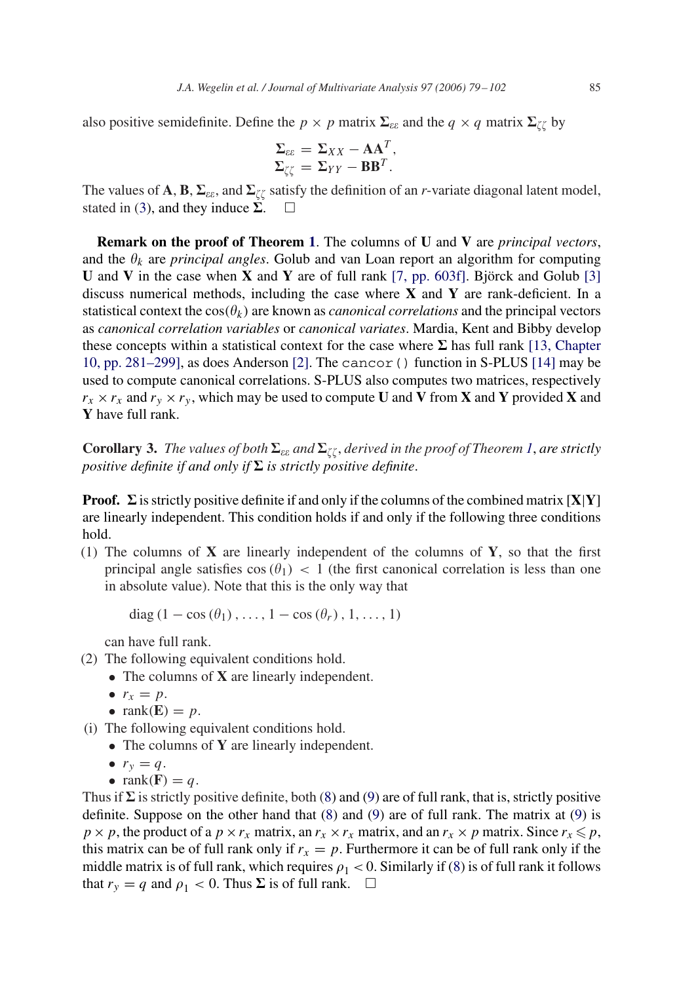<span id="page-6-0"></span>also positive semidefinite. Define the  $p \times p$  matrix  $\Sigma_{\varepsilon \varepsilon}$  and the  $q \times q$  matrix  $\Sigma_{\zeta \zeta}$  by

$$
\Sigma_{\varepsilon\varepsilon} = \Sigma_{XX} - AA^T,
$$
  

$$
\Sigma_{\zeta\zeta} = \Sigma_{YY} - BB^T.
$$

The values of **A**, **B**,  $\Sigma_{\varepsilon\varepsilon}$ , and  $\Sigma_{\zeta\zeta}$  satisfy the definition of an *r*-variate diagonal latent model, stated in [\(3\)](#page-3-0), and they induce  $\Sigma$ .  $\square$ 

**Remark on the proof of Theorem [1](#page-4-0)**. The columns of **U** and **V** are *principal vectors*, and the  $\theta_k$  are *principal angles*. Golub and van Loan report an algorithm for computing **U** and **V** in the case when **X** and **Y** are of full rank [\[7, pp. 603f\].](#page-22-0) Björck and Golub [\[3\]](#page-22-0) discuss numerical methods, including the case where **X** and **Y** are rank-deficient. In a statistical context the  $cos(\theta_k)$  are known as *canonical correlations* and the principal vectors as *canonical correlation variables* or *canonical variates*. Mardia, Kent and Bibby develop these concepts within a statistical context for the case where  $\Sigma$  has full rank [13, Chapter 10, pp. 281–299], as does Anderson [\[2\].](#page-22-0) The cancor() function in S-PLUS [\[14\]](#page-22-0) may be used to compute canonical correlations. S-PLUS also computes two matrices, respectively  $r_x \times r_x$  and  $r_y \times r_y$ , which may be used to compute **U** and **V** from **X** and **Y** provided **X** and **Y** have full rank.

 ${\bf Corollary 3.}$  *The values of both*  $\Sigma_{\varepsilon\varepsilon}$  and  $\Sigma_{\zeta\zeta}$  , derived in the proof of Theorem [1](#page-4-0), are strictly *positive definite if and only if*  $\Sigma$  *is strictly positive definite.* 

**Proof.**  $\Sigma$  is strictly positive definite if and only if the columns of the combined matrix  $[X|Y]$ are linearly independent. This condition holds if and only if the following three conditions hold.

(1) The columns of **X** are linearly independent of the columns of **Y**, so that the first principal angle satisfies  $\cos(\theta_1)$  < 1 (the first canonical correlation is less than one in absolute value). Note that this is the only way that

diag (1 – cos  $(\theta_1), \ldots, 1 - \cos(\theta_r), 1, \ldots, 1)$ )

can have full rank.

- (2) The following equivalent conditions hold.
	- The columns of **X** are linearly independent.
		- $r_x = p$ .
		- $rank(\mathbf{E}) = p$ .
- (i) The following equivalent conditions hold.
	- The columns of **Y** are linearly independent.
	- $r_v = q$ .
	- rank $(\mathbf{F}) = q$ .

Thus if  $\Sigma$  is strictly positive definite, both [\(8\)](#page-5-0) and [\(9\)](#page-5-0) are of full rank, that is, strictly positive definite. Suppose on the other hand that [\(8\)](#page-5-0) and [\(9\)](#page-5-0) are of full rank. The matrix at [\(9\)](#page-5-0) is  $p \times p$ , the product of a  $p \times r_x$  matrix, an  $r_x \times r_x$  matrix, and an  $r_x \times p$  matrix. Since  $r_x \leq p$ , this matrix can be of full rank only if  $r_x = p$ . Furthermore it can be of full rank only if the middle matrix is of full rank, which requires  $\rho_1 < 0$ . Similarly if [\(8\)](#page-5-0) is of full rank it follows that  $r_y = q$  and  $\rho_1 < 0$ . Thus  $\Sigma$  is of full rank.  $\square$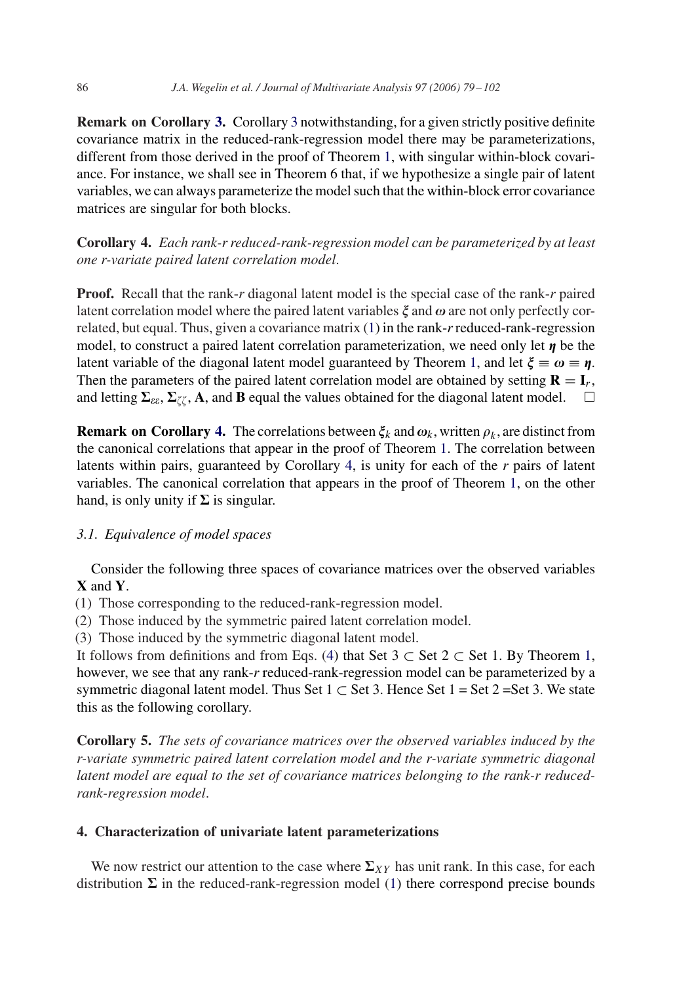<span id="page-7-0"></span>**Remark on Corollary [3.](#page-6-0)** Corollary [3](#page-6-0) notwithstanding, for a given strictly positive definite covariance matrix in the reduced-rank-regression model there may be parameterizations, different from those derived in the proof of Theorem [1,](#page-4-0) with singular within-block covariance. For instance, we shall see in Theorem 6 that, if we hypothesize a single pair of latent variables, we can always parameterize the model such that the within-block error covariance matrices are singular for both blocks.

**Corollary 4.** *Each rank-r reduced-rank-regression model can be parameterized by at least one r-variate paired latent correlation model*.

**Proof.** Recall that the rank-*r* diagonal latent model is the special case of the rank-*r* paired latent correlation model where the paired latent variables  $\xi$  and  $\omega$  are not only perfectly correlated, but equal. Thus, given a covariance matrix [\(1\)](#page-2-0) in the rank-*r*reduced-rank-regression model, to construct a paired latent correlation parameterization, we need only let  $\eta$  be the latent variable of the diagonal latent model guaranteed by Theorem [1,](#page-4-0) and let  $\xi \equiv \omega \equiv \eta$ . Then the parameters of the paired latent correlation model are obtained by setting  $\mathbf{R} = \mathbf{I}_r$ , and letting  $\Sigma_{\varepsilon\varepsilon}$ ,  $\Sigma_{\zeta\zeta}$ , A, and **B** equal the values obtained for the diagonal latent model.  $\square$ 

**Remark on Corollary 4.** The correlations between  $\xi_k$  and  $\omega_k$ , written  $\rho_k$ , are distinct from the canonical correlations that appear in the proof of Theorem [1.](#page-4-0) The correlation between latents within pairs, guaranteed by Corollary 4, is unity for each of the *r* pairs of latent variables. The canonical correlation that appears in the proof of Theorem [1,](#page-4-0) on the other hand, is only unity if  $\Sigma$  is singular.

## *3.1. Equivalence of model spaces*

Consider the following three spaces of covariance matrices over the observed variables **X** and **Y**.

(1) Those corresponding to the reduced-rank-regression model.

(2) Those induced by the symmetric paired latent correlation model.

(3) Those induced by the symmetric diagonal latent model.

It follows from definitions and from Eqs. [\(4\)](#page-4-0) that Set 3  $\subset$  Set 2  $\subset$  Set 1. By Theorem [1,](#page-4-0) however, we see that any rank-*r* reduced-rank-regression model can be parameterized by a symmetric diagonal latent model. Thus Set 1  $\subset$  Set 3. Hence Set 1 = Set 2 = Set 3. We state this as the following corollary.

**Corollary 5.** *The sets of covariance matrices over the observed variables induced by the r-variate symmetric paired latent correlation model and the r-variate symmetric diagonal latent model are equal to the set of covariance matrices belonging to the rank-r reducedrank-regression model*.

## **4. Characterization of univariate latent parameterizations**

We now restrict our attention to the case where  $\Sigma_{XY}$  has unit rank. In this case, for each distribution  $\Sigma$  in the reduced-rank-regression model [\(1\)](#page-2-0) there correspond precise bounds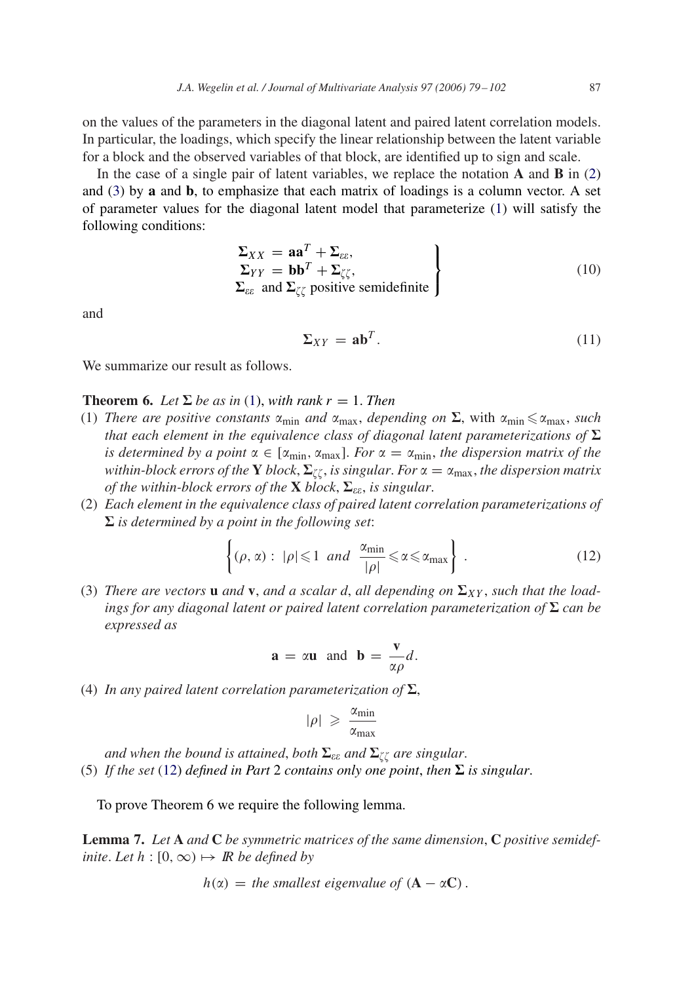<span id="page-8-0"></span>on the values of the parameters in the diagonal latent and paired latent correlation models. In particular, the loadings, which specify the linear relationship between the latent variable for a block and the observed variables of that block, are identified up to sign and scale.

In the case of a single pair of latent variables, we replace the notation **A** and **B** in [\(2\)](#page-3-0) and [\(3\)](#page-3-0) by **a** and **b**, to emphasize that each matrix of loadings is a column vector. A set of parameter values for the diagonal latent model that parameterize [\(1\)](#page-2-0) will satisfy the following conditions:

$$
\Sigma_{XX} = \mathbf{aa}^T + \Sigma_{\varepsilon\varepsilon},
$$
  
\n
$$
\Sigma_{YY} = \mathbf{bb}^T + \Sigma_{\zeta\zeta},
$$
  
\n
$$
\Sigma_{\varepsilon\varepsilon} \text{ and } \Sigma_{\zeta\zeta} \text{ positive semidefinite}
$$
\n(10)

and

$$
\Sigma_{XY} = \mathbf{a}\mathbf{b}^T. \tag{11}
$$

We summarize our result as follows.

**Theorem 6.** Let  $\Sigma$  be as in [\(1\)](#page-2-0), with rank  $r = 1$ . Then

- (1) *There are positive constants*  $\alpha_{\min}$  *and*  $\alpha_{\max}$ *, depending on*  $\Sigma$ *, with*  $\alpha_{\min} \leq \alpha_{\max}$ *, such that each element in the equivalence class of diagonal latent parameterizations of*  $\Sigma$ *is determined by a point*  $\alpha \in [\alpha_{\min}, \alpha_{\max}]$ . *For*  $\alpha = \alpha_{\min}$ *, the dispersion matrix of the within-block errors of the* **Y** *block*,  $\Sigma_{\zeta\zeta}$ , *is singular. For*  $\alpha = \alpha_{\text{max}}$ *, the dispersion matrix of the within-block errors of the*  $X$  *block*,  $\Sigma_{\varepsilon\varepsilon}$ *, is singular.*
- (2) *Each element in the equivalence class of paired latent correlation parameterizations of*  $\Sigma$  *is determined by a point in the following set:*

$$
\left\{ (\rho, \alpha) : |\rho| \leqslant 1 \text{ and } \frac{\alpha_{\min}}{|\rho|} \leqslant \alpha \leqslant \alpha_{\max} \right\} . \tag{12}
$$

(3) *There are vectors* **u** *and* **v**, *and a scalar d*, *all depending on*  $\Sigma_{XY}$ *, such that the loadings for any diagonal latent or paired latent correlation parameterization of*  $\Sigma$  *can be expressed as*

$$
\mathbf{a} = \alpha \mathbf{u}
$$
 and  $\mathbf{b} = \frac{\mathbf{v}}{\alpha \rho} d$ .

(4) In any paired latent correlation parameterization of  $\Sigma$ ,

$$
|\rho| \ \geqslant \ \frac{\alpha_{\min}}{\alpha_{\max}}
$$

and when the bound is attained, both  $\Sigma_{\varepsilon\varepsilon}$  and  $\Sigma_{\zeta\zeta}$  are singular. (5) If the set (12) defined in Part 2 contains only one point, then  $\Sigma$  is singular.

To prove Theorem 6 we require the following lemma.

**Lemma 7.** *Let* **A** *and* **C** *be symmetric matrices of the same dimension*, **C** *positive semidefinite. Let*  $h : [0, \infty) \mapsto \mathbb{R}$  *be defined by* 

$$
h(\alpha) =
$$
 the smallest eigenvalue of  $(A - \alpha C)$ .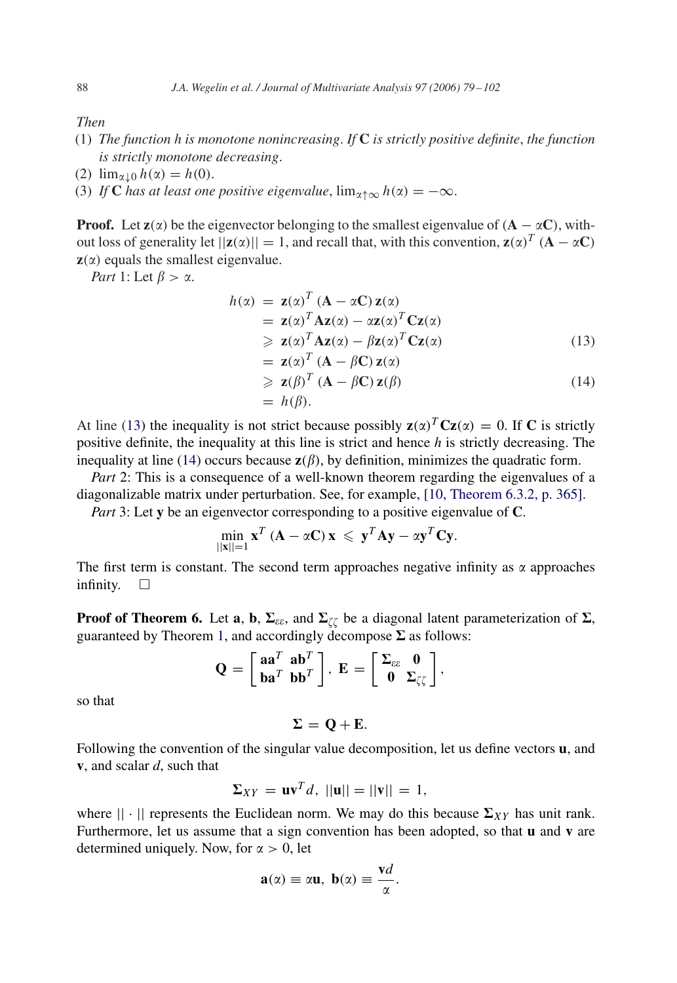<span id="page-9-0"></span>*Then*

- (1) *The function h is monotone nonincreasing*. *If* **C** *is strictly positive definite*, *the function is strictly monotone decreasing*.
- (2)  $\lim_{\alpha\downarrow 0} h(\alpha) = h(0)$ .
- (3) *If* **C** has at least one positive eigenvalue,  $\lim_{\alpha \to \infty} h(\alpha) = -\infty$ .

**Proof.** Let  $z(\alpha)$  be the eigenvector belonging to the smallest eigenvalue of ( $A - \alpha C$ ), without loss of generality let  $||\mathbf{z}(\alpha)|| = 1$ , and recall that, with this convention,  $\mathbf{z}(\alpha)^T (\mathbf{A} - \alpha \mathbf{C})$  $z(\alpha)$  equals the smallest eigenvalue.

*Part* 1: Let  $\beta > \alpha$ .

$$
h(\alpha) = \mathbf{z}(\alpha)^T (\mathbf{A} - \alpha \mathbf{C}) \mathbf{z}(\alpha)
$$
  
=  $\mathbf{z}(\alpha)^T \mathbf{A} \mathbf{z}(\alpha) - \alpha \mathbf{z}(\alpha)^T \mathbf{C} \mathbf{z}(\alpha)$   
\ge  $\mathbf{z}(\alpha)^T \mathbf{A} \mathbf{z}(\alpha) - \beta \mathbf{z}(\alpha)^T \mathbf{C} \mathbf{z}(\alpha)$  (13)

$$
= \mathbf{z}(\alpha)^T (\mathbf{A} - \beta \mathbf{C}) \mathbf{z}(\alpha)
$$
  
\n
$$
\geq \mathbf{z}(\beta)^T (\mathbf{A} - \beta \mathbf{C}) \mathbf{z}(\beta)
$$
  
\n
$$
= h(\beta).
$$
 (14)

At line [\(13\)](#page-8-0) the inequality is not strict because possibly  $\mathbf{z}(\alpha)^T \mathbf{C} \mathbf{z}(\alpha) = 0$ . If **C** is strictly positive definite, the inequality at this line is strict and hence *h* is strictly decreasing. The inequality at line [\(14\)](#page-8-0) occurs because  $z(\beta)$ , by definition, minimizes the quadratic form.

*Part* 2: This is a consequence of a well-known theorem regarding the eigenvalues of a diagonalizable matrix under perturbation. See, for example, [\[10, Theorem 6.3.2, p. 365\].](#page-22-0)

*Part* 3: Let **y** be an eigenvector corresponding to a positive eigenvalue of **C**.

$$
\min_{\|\mathbf{x}\|=1} \mathbf{x}^T (\mathbf{A} - \alpha \mathbf{C}) \mathbf{x} \leqslant \mathbf{y}^T \mathbf{A} \mathbf{y} - \alpha \mathbf{y}^T \mathbf{C} \mathbf{y}.
$$

The first term is constant. The second term approaches negative infinity as  $\alpha$  approaches infinity.  $\square$ 

**Proof of Theorem 6.** Let **a**, **b**,  $\Sigma_{\varepsilon\varepsilon}$ , and  $\Sigma_{\zeta\zeta}$  be a diagonal latent parameterization of  $\Sigma$ , guaranteed by Theorem [1,](#page-4-0) and accordingly decompose  $\Sigma$  as follows:

$$
\mathbf{Q} = \begin{bmatrix} \mathbf{aa}^T & \mathbf{ab}^T \\ \mathbf{ba}^T & \mathbf{bb}^T \end{bmatrix}, \ \mathbf{E} = \begin{bmatrix} \Sigma_{\varepsilon\varepsilon} & \mathbf{0} \\ \mathbf{0} & \Sigma_{\zeta\zeta} \end{bmatrix},
$$

so that

 $\Sigma = \mathbf{Q} + \mathbf{E}$ .

Following the convention of the singular value decomposition, let us define vectors **u**, and **v**, and scalar *d*, such that

$$
\Sigma_{XY} = \mathbf{u}\mathbf{v}^T d, \ ||\mathbf{u}|| = ||\mathbf{v}|| = 1,
$$

where  $|| \cdot ||$  represents the Euclidean norm. We may do this because  $\Sigma_{XY}$  has unit rank. Furthermore, let us assume that a sign convention has been adopted, so that **u** and **v** are determined uniquely. Now, for  $\alpha > 0$ , let

$$
\mathbf{a}(\alpha) \equiv \alpha \mathbf{u}, \ \mathbf{b}(\alpha) \equiv \frac{\mathbf{v}d}{\alpha}.
$$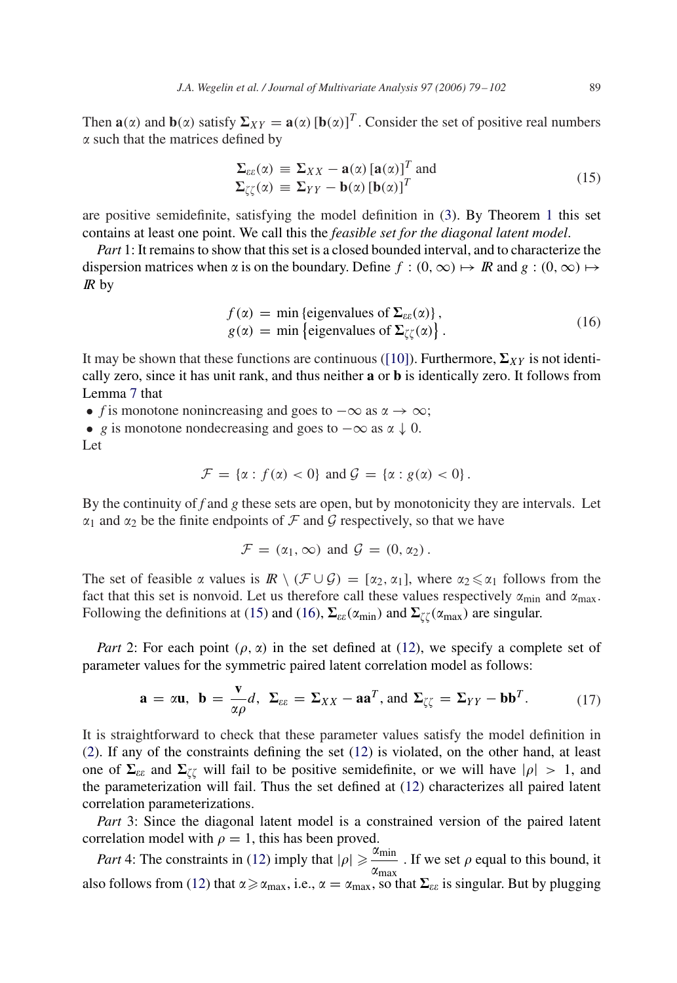<span id="page-10-0"></span>Then  $\mathbf{a}(\alpha)$  and  $\mathbf{b}(\alpha)$  satisfy  $\Sigma_{XY} = \mathbf{a}(\alpha) [\mathbf{b}(\alpha)]^T$ . Consider the set of positive real numbers  $\alpha$  such that the matrices defined by

$$
\Sigma_{\varepsilon\varepsilon}(\alpha) \equiv \Sigma_{XX} - \mathbf{a}(\alpha) [\mathbf{a}(\alpha)]^T \text{ and}
$$
\n
$$
\Sigma_{\zeta\zeta}(\alpha) \equiv \Sigma_{YY} - \mathbf{b}(\alpha) [\mathbf{b}(\alpha)]^T
$$
\n(15)

are positive semidefinite, satisfying the model definition in [\(3\)](#page-3-0). By Theorem [1](#page-4-0) this set contains at least one point. We call this the *feasible set for the diagonal latent model*.

*Part* 1: It remains to show that this set is a closed bounded interval, and to characterize the dispersion matrices when  $\alpha$  is on the boundary. Define  $f : (0, \infty) \mapsto \mathbb{R}$  and  $g : (0, \infty) \mapsto$  $\mathbb{R}$  by

$$
f(\alpha) = \min \{ \text{eigenvalues of } \Sigma_{\varepsilon \varepsilon}(\alpha) \},
$$
  
 
$$
g(\alpha) = \min \{ \text{eigenvalues of } \Sigma_{\zeta \zeta}(\alpha) \}.
$$
 (16)

It may be shown that these functions are continuous [\(\[10\]\)](#page-22-0). Furthermore,  $\Sigma_{XY}$  is not identically zero, since it has unit rank, and thus neither **a** or **b** is identically zero. It follows from Lemma [7](#page-8-0) that

• *f* is monotone nonincreasing and goes to  $-\infty$  as  $\alpha \to \infty$ ;

• *g* is monotone nondecreasing and goes to  $-\infty$  as  $\alpha \downarrow 0$ .

Let

$$
\mathcal{F} = \{ \alpha : f(\alpha) < 0 \} \text{ and } \mathcal{G} = \{ \alpha : g(\alpha) < 0 \} \, .
$$

By the continuity of *f* and *g* these sets are open, but by monotonicity they are intervals. Let  $\alpha_1$  and  $\alpha_2$  be the finite endpoints of F and G respectively, so that we have

$$
\mathcal{F} = (\alpha_1, \infty) \text{ and } \mathcal{G} = (0, \alpha_2).
$$

The set of feasible  $\alpha$  values is  $\mathbb{R} \setminus (\mathcal{F} \cup \mathcal{G}) = [\alpha_2, \alpha_1]$ , where  $\alpha_2 \leq \alpha_1$  follows from the fact that this set is nonvoid. Let us therefore call these values respectively  $\alpha_{\min}$  and  $\alpha_{\max}$ . Following the definitions at [\(15\)](#page-9-0) and (16),  $\Sigma_{\varepsilon\varepsilon}(\alpha_{min})$  and  $\Sigma_{\zeta\zeta}(\alpha_{max})$  are singular.

*Part* 2: For each point  $(\rho, \alpha)$  in the set defined at [\(12\)](#page-8-0), we specify a complete set of parameter values for the symmetric paired latent correlation model as follows:

$$
\mathbf{a} = \alpha \mathbf{u}, \quad \mathbf{b} = \frac{\mathbf{v}}{\alpha \rho} d, \quad \Sigma_{\varepsilon \varepsilon} = \Sigma_{XX} - \mathbf{a} \mathbf{a}^T, \text{ and } \Sigma_{\zeta \zeta} = \Sigma_{YY} - \mathbf{b} \mathbf{b}^T.
$$
 (17)

It is straightforward to check that these parameter values satisfy the model definition in [\(2\)](#page-3-0). If any of the constraints defining the set [\(12\)](#page-8-0) is violated, on the other hand, at least one of  $\Sigma_{\varepsilon\varepsilon}$  and  $\Sigma_{\zeta\zeta}$  will fail to be positive semidefinite, or we will have  $|\rho| > 1$ , and the parameterization will fail. Thus the set defined at [\(12\)](#page-8-0) characterizes all paired latent correlation parameterizations.

*Part* 3: Since the diagonal latent model is a constrained version of the paired latent correlation model with  $\rho = 1$ , this has been proved.

*Part* 4: The constraints in [\(12\)](#page-8-0) imply that  $|\rho| \ge \frac{\alpha_{\min}}{n}$  $\frac{\sigma_{\text{min}}}{\alpha_{\text{max}}}$ . If we set  $\rho$  equal to this bound, it also follows from [\(12\)](#page-8-0) that  $\alpha \ge \alpha_{\max}$ , i.e.,  $\alpha = \alpha_{\max}$ , so that  $\Sigma_{\varepsilon\varepsilon}$  is singular. But by plugging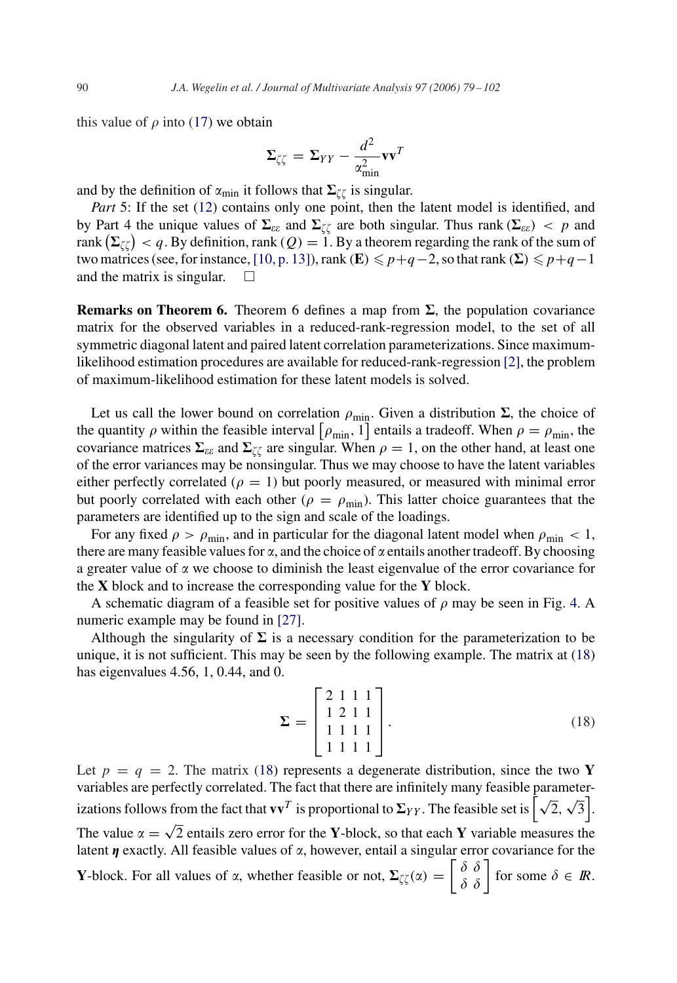<span id="page-11-0"></span>this value of  $\rho$  into [\(17\)](#page-10-0) we obtain

$$
\Sigma_{\zeta\zeta} = \Sigma_{YY} - \frac{d^2}{\alpha_{\min}^2} \mathbf{v} \mathbf{v}^T
$$

and by the definition of  $\alpha_{\min}$  it follows that  $\Sigma_{\zeta\zeta}$  is singular.

*Part* 5: If the set [\(12\)](#page-8-0) contains only one point, then the latent model is identified, and by Part 4 the unique values of  $\Sigma_{\varepsilon\varepsilon}$  and  $\Sigma_{\zeta\zeta}$  are both singular. Thus rank  $(\Sigma_{\varepsilon\varepsilon}) < p$  and rank  $\left(\mathbf{\Sigma}_{\zeta\zeta}\right)< q$  . By definition, rank (  $Q$  )  $=1.$  By a theorem regarding the rank of the sum of two matrices (see, for instance, [\[10, p. 13\]\)](#page-22-0), rank (**E**)  $\leqslant p+q-2$ , so that rank ( $\Sigma$ )  $\leqslant p+q-1$ and the matrix is singular.  $\square$ 

**Remarks on Theorem 6.** Theorem 6 defines a map from  $\Sigma$ , the population covariance matrix for the observed variables in a reduced-rank-regression model, to the set of all symmetric diagonal latent and paired latent correlation parameterizations. Since maximumlikelihood estimation procedures are available for reduced-rank-regression [\[2\],](#page-22-0) the problem of maximum-likelihood estimation for these latent models is solved.

Let us call the lower bound on correlation  $\rho_{\min}$ . Given a distribution  $\Sigma$ , the choice of the quantity  $\rho$  within the feasible interval  $[\rho_{\min}, 1]$  entails a tradeoff. When  $\rho = \rho_{\min}$ , the covariance matrices  $\Sigma_{\varepsilon\varepsilon}$  and  $\Sigma_{\zeta\zeta}$  are singular. When  $\rho = 1$ , on the other hand, at least one of the error variances may be nonsingular. Thus we may choose to have the latent variables either perfectly correlated ( $\rho = 1$ ) but poorly measured, or measured with minimal error but poorly correlated with each other ( $\rho = \rho_{\text{min}}$ ). This latter choice guarantees that the parameters are identified up to the sign and scale of the loadings.

For any fixed  $\rho > \rho_{\min}$ , and in particular for the diagonal latent model when  $\rho_{\min} < 1$ , there are many feasible values for  $\alpha$ , and the choice of  $\alpha$  entails another tradeoff. By choosing a greater value of  $\alpha$  we choose to diminish the least eigenvalue of the error covariance for the **X** block and to increase the corresponding value for the **Y** block.

A schematic diagram of a feasible set for positive values of  $\rho$  may be seen in Fig. [4.](#page-12-0) A numeric example may be found in [\[27\].](#page-23-0)

Although the singularity of  $\Sigma$  is a necessary condition for the parameterization to be unique, it is not sufficient. This may be seen by the following example. The matrix at (18) has eigenvalues 4.56, 1, 0.44, and 0.

$$
\Sigma = \begin{bmatrix} 2 & 1 & 1 & 1 \\ 1 & 2 & 1 & 1 \\ 1 & 1 & 1 & 1 \\ 1 & 1 & 1 & 1 \end{bmatrix} . \tag{18}
$$

Let  $p = q = 2$ . The matrix (18) represents a degenerate distribution, since the two **Y** variables are perfectly correlated. The fact that there are infinitely many feasible parametervariables are perfectly correlated. The fact that there are immittely many reasible parameter-<br>izations follows from the fact that  $\mathbf{v}\mathbf{v}^T$  is proportional to  $\Sigma_{YY}$ . The feasible set is  $\left[\sqrt{2}, \sqrt{3}\right]$ . The value  $\alpha = \sqrt{2}$  entails zero error for the **Y**-block, so that each **Y** variable measures the latent  $\eta$  exactly. All feasible values of  $\alpha$ , however, entail a singular error covariance for the **Y**-block. For all values of  $\alpha$ , whether feasible or not,  $\Sigma_{\zeta\zeta}(\alpha) = \begin{bmatrix} \delta & \delta \\ \delta & \delta \end{bmatrix}$  for some  $\delta \in \mathbb{R}$ .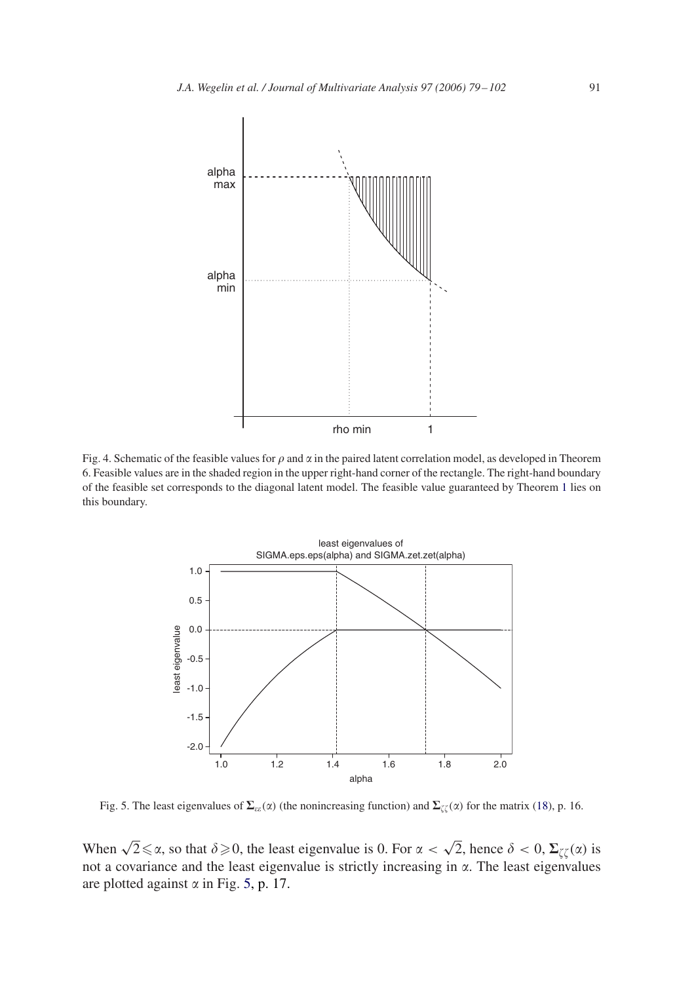<span id="page-12-0"></span>

Fig. 4. Schematic of the feasible values for  $\rho$  and  $\alpha$  in the paired latent correlation model, as developed in Theorem 6. Feasible values are in the shaded region in the upper right-hand corner of the rectangle. The right-hand boundary of the feasible set corresponds to the diagonal latent model. The feasible value guaranteed by Theorem [1](#page-4-0) lies on this boundary.



Fig. 5. The least eigenvalues of  $\Sigma_{\epsilon\epsilon}(\alpha)$  (the nonincreasing function) and  $\Sigma_{\zeta\zeta}(\alpha)$  for the matrix [\(18\)](#page-11-0), p. 16.

When  $\sqrt{2} \le \alpha$ , so that  $\delta \ge 0$ , the least eigenvalue is 0. For  $\alpha < \sqrt{2}$ , hence  $\delta < 0$ ,  $\Sigma_{\zeta\zeta}(\alpha)$  is not a covariance and the least eigenvalue is strictly increasing in  $\alpha$ . The least eigenvalues are plotted against  $\alpha$  in Fig. 5, p. 17.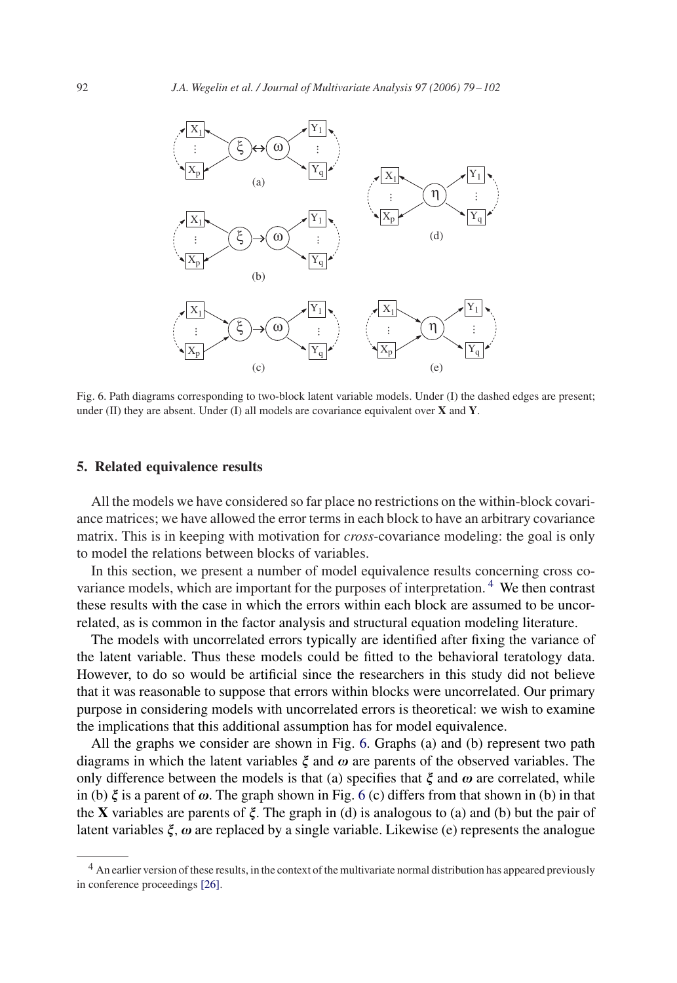<span id="page-13-0"></span>

Fig. 6. Path diagrams corresponding to two-block latent variable models. Under (I) the dashed edges are present; under (II) they are absent. Under (I) all models are covariance equivalent over **X** and **Y**.

## **5. Related equivalence results**

All the models we have considered so far place no restrictions on the within-block covariance matrices; we have allowed the error terms in each block to have an arbitrary covariance matrix. This is in keeping with motivation for *cross*-covariance modeling: the goal is only to model the relations between blocks of variables.

In this section, we present a number of model equivalence results concerning cross covariance models, which are important for the purposes of interpretation. <sup>4</sup> We then contrast these results with the case in which the errors within each block are assumed to be uncorrelated, as is common in the factor analysis and structural equation modeling literature.

The models with uncorrelated errors typically are identified after fixing the variance of the latent variable. Thus these models could be fitted to the behavioral teratology data. However, to do so would be artificial since the researchers in this study did not believe that it was reasonable to suppose that errors within blocks were uncorrelated. Our primary purpose in considering models with uncorrelated errors is theoretical: we wish to examine the implications that this additional assumption has for model equivalence.

All the graphs we consider are shown in Fig. 6. Graphs (a) and (b) represent two path diagrams in which the latent variables  $\xi$  and  $\omega$  are parents of the observed variables. The only difference between the models is that (a) specifies that  $\xi$  and  $\omega$  are correlated, while in (b)  $\xi$  is a parent of  $\omega$ . The graph shown in Fig. 6 (c) differs from that shown in (b) in that the **X** variables are parents of  $\xi$ . The graph in (d) is analogous to (a) and (b) but the pair of latent variables  $\xi$ ,  $\omega$  are replaced by a single variable. Likewise (e) represents the analogue

 $<sup>4</sup>$  An earlier version of these results, in the context of the multivariate normal distribution has appeared previously</sup> in conference proceedings [\[26\].](#page-23-0)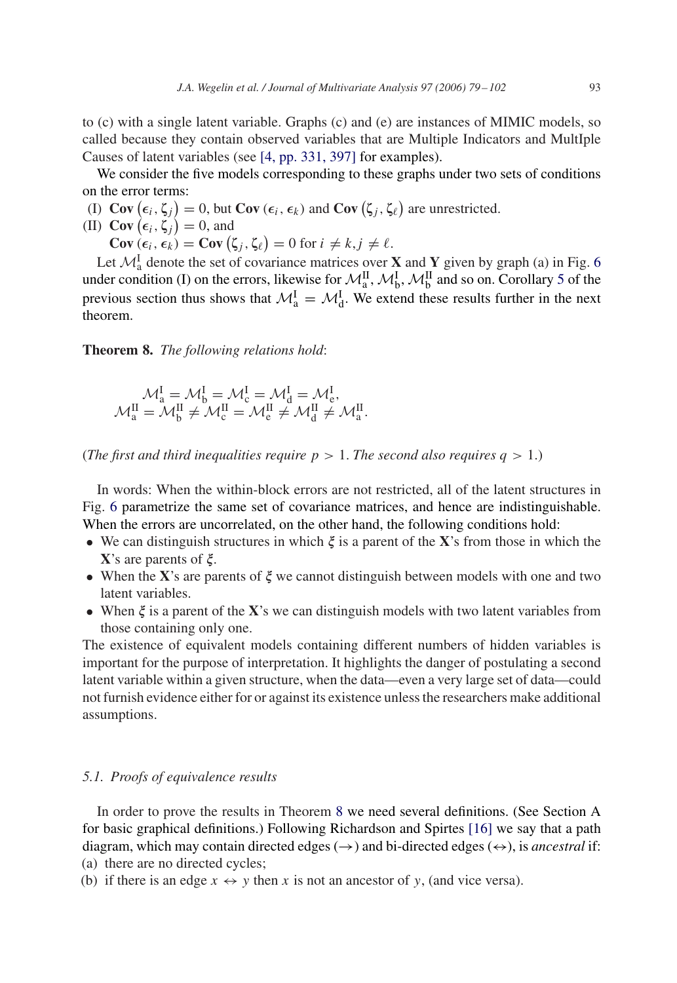<span id="page-14-0"></span>We consider the five models corresponding to these graphs under two sets of conditions on the error terms:

(I)  $Cov(\epsilon_i, \zeta_j) = 0$ , but  $Cov(\epsilon_i, \epsilon_k)$  and  $Cov(\zeta_j, \zeta_\ell)$  are unrestricted.

- (II) **Cov**  $(\epsilon_i, \zeta_j) = 0$ , and
	- **Cov**  $(\epsilon_i, \epsilon_k)$  = **Cov**  $(\zeta_j, \zeta_\ell)$  = 0 for  $i \neq k, j \neq \ell$ .

Let  $\mathcal{M}_{a}^{I}$  denote the set of covariance matrices over **X** and **Y** given by graph (a) in Fig. [6](#page-13-0) under condition (I) on the errors, likewise for  $\mathcal{M}_{a}^{II}$ ,  $\mathcal{M}_{b}^{I}$ ,  $\mathcal{M}_{b}^{II}$  and so on. Corollary [5](#page-7-0) of the previous section thus shows that  $\mathcal{M}_{a}^{I} = \mathcal{M}_{d}^{I}$ . We extend these results further in the next theorem.

**Theorem 8.** *The following relations hold*:

$$
\mathcal{M}^I_a = \mathcal{M}^I_b = \mathcal{M}^I_c = \mathcal{M}^I_d = \mathcal{M}^I_e,
$$
  

$$
\mathcal{M}^II_a = \mathcal{M}^II_b \neq \mathcal{M}^II_c = \mathcal{M}^II_e \neq \mathcal{M}^II_d \neq \mathcal{M}^II_a.
$$

(*The first and third inequalities require*  $p > 1$ *. The second also requires*  $q > 1$ *.*)

In words: When the within-block errors are not restricted, all of the latent structures in Fig. [6](#page-13-0) parametrize the same set of covariance matrices, and hence are indistinguishable. When the errors are uncorrelated, on the other hand, the following conditions hold:

- We can distinguish structures in which  $\xi$  is a parent of the **X**'s from those in which the  $X$ 's are parents of  $\xi$ .
- When the  $X$ 's are parents of  $\xi$  we cannot distinguish between models with one and two latent variables.
- When  $\xi$  is a parent of the **X**'s we can distinguish models with two latent variables from those containing only one.

The existence of equivalent models containing different numbers of hidden variables is important for the purpose of interpretation. It highlights the danger of postulating a second latent variable within a given structure, when the data—even a very large set of data—could not furnish evidence either for or against its existence unless the researchers make additional assumptions.

# *5.1. Proofs of equivalence results*

In order to prove the results in Theorem 8 we need several definitions. (See Section A for basic graphical definitions.) Following Richardson and Spirtes [\[16\]](#page-22-0) we say that a path diagram, which may contain directed edges  $(\rightarrow)$  and bi-directed edges  $(\leftrightarrow)$ , is *ancestral* if: (a) there are no directed cycles;

(b) if there is an edge  $x \leftrightarrow y$  then x is not an ancestor of y, (and vice versa).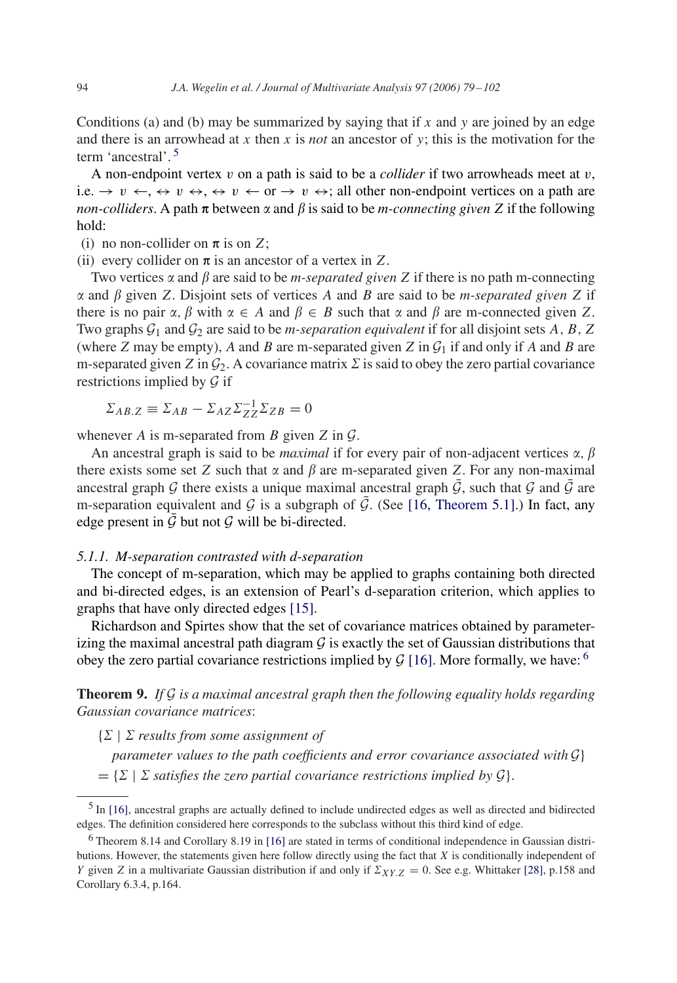<span id="page-15-0"></span>Conditions (a) and (b) may be summarized by saying that if x and y are joined by an edge and there is an arrowhead at x then x is *not* an ancestor of y; this is the motivation for the term 'ancestral'. <sup>5</sup>

A non-endpoint vertex  $v$  on a path is said to be a *collider* if two arrowheads meet at  $v$ , i.e.  $\rightarrow v \leftarrow$ ,  $\leftrightarrow v \leftrightarrow$ ,  $\leftrightarrow v \leftarrow$  or  $\rightarrow v \leftrightarrow$ ; all other non-endpoint vertices on a path are *non-colliders*. A path  $\pi$  between  $\alpha$  and  $\beta$  is said to be *m-connecting given* Z if the following hold:

(i) no non-collider on  $\pi$  is on Z;

(ii) every collider on  $\pi$  is an ancestor of a vertex in Z.

Two vertices  $\alpha$  and  $\beta$  are said to be *m-separated given* Z if there is no path m-connecting  $\alpha$  and  $\beta$  given Z. Disjoint sets of vertices A and B are said to be *m-separated given* Z if there is no pair  $\alpha$ ,  $\beta$  with  $\alpha \in A$  and  $\beta \in B$  such that  $\alpha$  and  $\beta$  are m-connected given Z. Two graphs  $G_1$  and  $G_2$  are said to be *m-separation equivalent* if for all disjoint sets A, B, Z (where Z may be empty), A and B are m-separated given Z in  $\mathcal{G}_1$  if and only if A and B are m-separated given Z in  $\mathcal{G}_2$ . A covariance matrix  $\mathcal{E}$  is said to obey the zero partial covariance restrictions implied by  $\mathcal G$  if

 $\Sigma_{AB,Z} \equiv \Sigma_{AB} - \Sigma_{AZ}\Sigma_{ZZ}^{-1}\Sigma_{ZB} = 0$ 

whenever A is m-separated from B given  $Z$  in  $\mathcal{G}$ .

An ancestral graph is said to be *maximal* if for every pair of non-adjacent vertices  $\alpha$ ,  $\beta$ there exists some set Z such that  $\alpha$  and  $\beta$  are m-separated given Z. For any non-maximal ancestral graph G there exists a unique maximal ancestral graph  $\bar{G}$ , such that G and  $\bar{G}$  are m-separation equivalent and G is a subgraph of  $\bar{G}$ . (See [\[16, Theorem 5.1\].](#page-22-0)) In fact, any edge present in  $G$  but not  $G$  will be bi-directed.

# *5.1.1. M-separation contrasted with d-separation*

The concept of m-separation, which may be applied to graphs containing both directed and bi-directed edges, is an extension of Pearl's d-separation criterion, which applies to graphs that have only directed edges [\[15\].](#page-22-0)

Richardson and Spirtes show that the set of covariance matrices obtained by parameterizing the maximal ancestral path diagram  $G$  is exactly the set of Gaussian distributions that obey the zero partial covariance restrictions implied by  $G$  [\[16\].](#page-22-0) More formally, we have: <sup>6</sup>

**Theorem 9.** *If* G *is a maximal ancestral graph then the following equality holds regarding Gaussian covariance matrices*:

 $\{\Sigma \mid \Sigma \text{ results from some assignment of }\}$ 

*parameter values to the path coefficients and error covariance associated with* G}

 $= \{ \Sigma \mid \Sigma \text{ satisfies the zero partial covariance restrictions implied by } \mathcal{G} \}.$ 

<sup>5</sup> In [\[16\],](#page-22-0) ancestral graphs are actually defined to include undirected edges as well as directed and bidirected edges. The definition considered here corresponds to the subclass without this third kind of edge.

<sup>6</sup> Theorem 8.14 and Corollary 8.19 in [\[16\]](#page-22-0) are stated in terms of conditional independence in Gaussian distributions. However, the statements given here follow directly using the fact that X is conditionally independent of Y given Z in a multivariate Gaussian distribution if and only if  $\Sigma_{XY,Z} = 0$ . See e.g. Whittaker [28], p.158 and Corollary 6.3.4, p.164.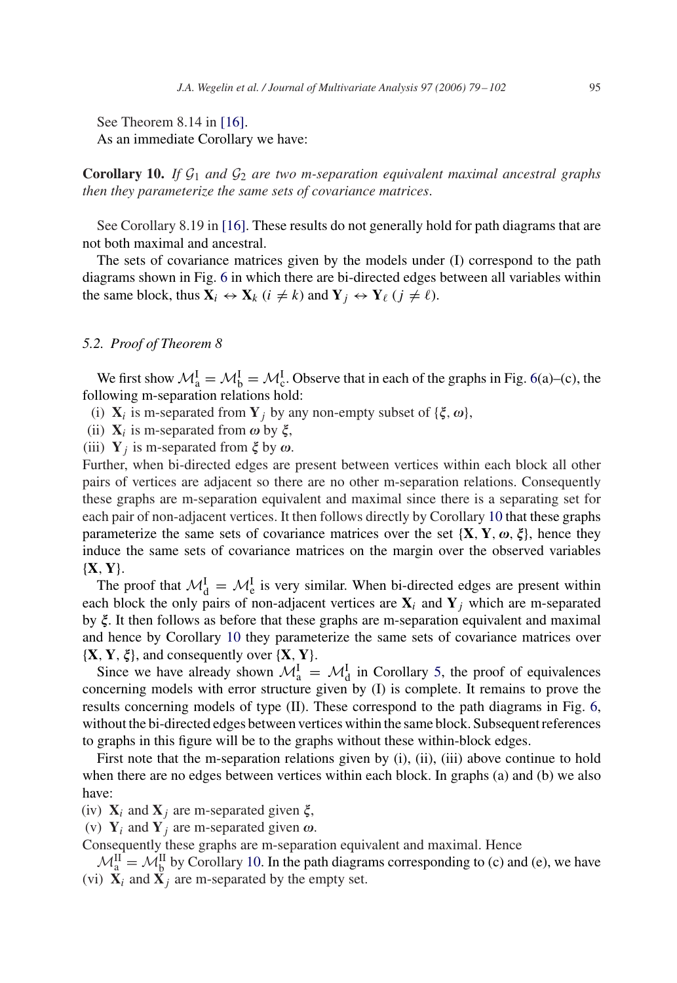See Theorem 8.14 in [\[16\].](#page-22-0) As an immediate Corollary we have:

**Corollary 10.** *If*  $G_1$  *and*  $G_2$  *are two m-separation equivalent maximal ancestral graphs then they parameterize the same sets of covariance matrices*.

See Corollary 8.19 in [\[16\].](#page-22-0) These results do not generally hold for path diagrams that are not both maximal and ancestral.

The sets of covariance matrices given by the models under (I) correspond to the path diagrams shown in Fig. [6](#page-13-0) in which there are bi-directed edges between all variables within the same block, thus  $X_i \leftrightarrow X_k$  ( $i \neq k$ ) and  $Y_i \leftrightarrow Y_\ell$  ( $j \neq \ell$ ).

## *5.2. Proof of Theorem 8*

We first show  $\mathcal{M}_{a}^{I} = \mathcal{M}_{b}^{I} = \mathcal{M}_{c}^{I}$ . Observe that in each of the graphs in Fig. [6\(](#page-13-0)a)–(c), the following m-separation relations hold:

(i)  $X_i$  is m-separated from  $Y_j$  by any non-empty subset of  $\{\xi, \omega\}$ ,

(ii)  $X_i$  is m-separated from  $\omega$  by  $\xi$ ,

(iii)  $Y_j$  is m-separated from  $\xi$  by  $\omega$ .

Further, when bi-directed edges are present between vertices within each block all other pairs of vertices are adjacent so there are no other m-separation relations. Consequently these graphs are m-separation equivalent and maximal since there is a separating set for each pair of non-adjacent vertices. It then follows directly by Corollary 10 that these graphs parameterize the same sets of covariance matrices over the set  $\{X, Y, \omega, \xi\}$ , hence they induce the same sets of covariance matrices on the margin over the observed variables {**X**, **Y**}.

The proof that  $\mathcal{M}_{d}^{I} = \mathcal{M}_{e}^{I}$  is very similar. When bi-directed edges are present within each block the only pairs of non-adjacent vertices are  $X_i$  and  $Y_j$  which are m-separated by  $\xi$ . It then follows as before that these graphs are m-separation equivalent and maximal and hence by Corollary 10 they parameterize the same sets of covariance matrices over  $\{X, Y, \xi\}$ , and consequently over  $\{X, Y\}$ .

Since we have already shown  $\mathcal{M}_{a}^{I} = \mathcal{M}_{d}^{I}$  in Corollary [5,](#page-7-0) the proof of equivalences concerning models with error structure given by (I) is complete. It remains to prove the results concerning models of type (II). These correspond to the path diagrams in Fig. [6,](#page-13-0) without the bi-directed edges between vertices within the same block. Subsequent references to graphs in this figure will be to the graphs without these within-block edges.

First note that the m-separation relations given by (i), (ii), (iii) above continue to hold when there are no edges between vertices within each block. In graphs (a) and (b) we also have:

(iv)  $X_i$  and  $X_j$  are m-separated given  $\xi$ ,

(v)  $Y_i$  and  $Y_j$  are m-separated given  $\omega$ .

Consequently these graphs are m-separation equivalent and maximal. Hence

 $\mathcal{M}_{a}^{II} = \mathcal{M}_{b}^{II}$  by Corollary 10. In the path diagrams corresponding to (c) and (e), we have (vi)  $\mathbf{X}_i$  and  $\mathbf{X}_j$  are m-separated by the empty set.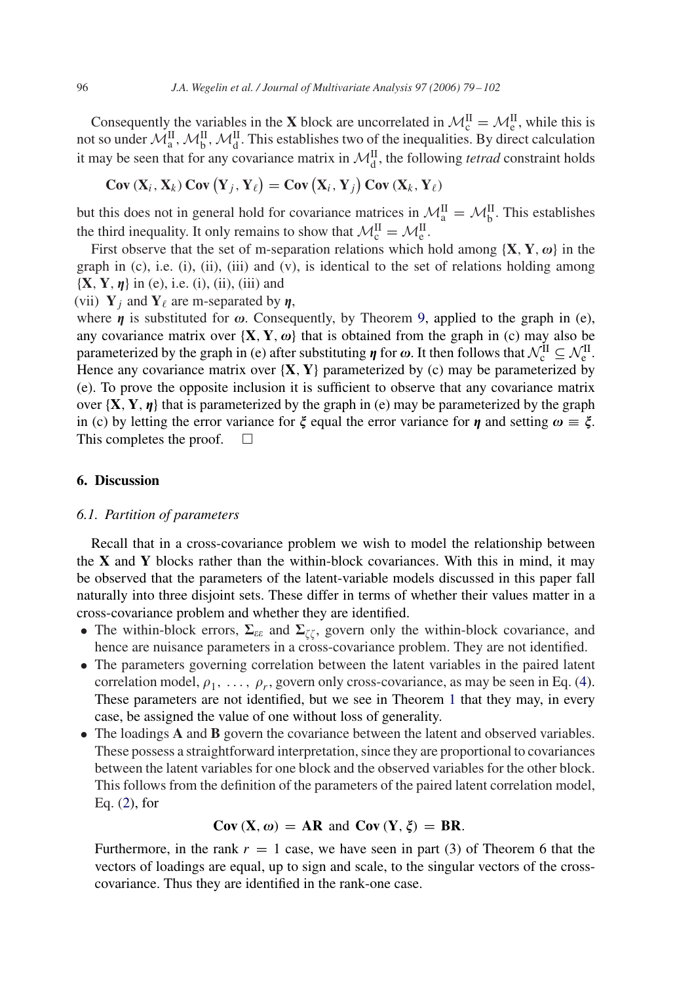<span id="page-17-0"></span>Consequently the variables in the **X** block are uncorrelated in  $\mathcal{M}_c^H = \mathcal{M}_e^H$ , while this is not so under  $\mathcal{M}_{a}^{II}$ ,  $\mathcal{M}_{b}^{II}$ ,  $\mathcal{M}_{d}^{II}$ . This establishes two of the inequalities. By direct calculation it may be seen that for any covariance matrix in  $\mathcal{M}_{d}^{\text{II}}$ , the following *tetrad* constraint holds

$$
Cov(X_i, X_k) Cov(Y_j, Y_\ell) = Cov(X_i, Y_j) Cov(X_k, Y_\ell)
$$

but this does not in general hold for covariance matrices in  $\mathcal{M}_{a}^{II} = \mathcal{M}_{b}^{II}$ . This establishes the third inequality. It only remains to show that  $\mathcal{M}_{c}^{II} = \mathcal{M}_{e}^{II}$ .

First observe that the set of m-separation relations which hold among  $\{X, Y, \omega\}$  in the graph in  $(c)$ , i.e.  $(i)$ ,  $(ii)$ ,  $(iii)$  and  $(v)$ , is identical to the set of relations holding among  $\{X, Y, \eta\}$  in (e), i.e. (i), (ii), (iii) and

(vii)  $Y_i$  and  $Y_\ell$  are m-separated by  $\eta$ ,

where  $\eta$  is substituted for  $\omega$ . Consequently, by Theorem [9,](#page-15-0) applied to the graph in (e), any covariance matrix over  $\{X, Y, \omega\}$  that is obtained from the graph in (c) may also be parameterized by the graph in (e) after substituting  $\eta$  for  $\omega$ . It then follows that  $\mathcal{N}_{c}^{II} \subseteq \mathcal{N}_{e}^{II}$ . Hence any covariance matrix over  $\{X, Y\}$  parameterized by (c) may be parameterized by (e). To prove the opposite inclusion it is sufficient to observe that any covariance matrix over  ${\bf \{X, Y, \eta\}}$  that is parameterized by the graph in (e) may be parameterized by the graph in (c) by letting the error variance for  $\xi$  equal the error variance for  $\eta$  and setting  $\omega = \xi$ . This completes the proof.  $\Box$ 

# **6. Discussion**

#### *6.1. Partition of parameters*

Recall that in a cross-covariance problem we wish to model the relationship between the **X** and **Y** blocks rather than the within-block covariances. With this in mind, it may be observed that the parameters of the latent-variable models discussed in this paper fall naturally into three disjoint sets. These differ in terms of whether their values matter in a cross-covariance problem and whether they are identified.

- The within-block errors,  $\Sigma_{\varepsilon\varepsilon}$  and  $\Sigma_{\zeta\zeta}$ , govern only the within-block covariance, and hence are nuisance parameters in a cross-covariance problem. They are not identified.
- The parameters governing correlation between the latent variables in the paired latent correlation model,  $\rho_1, \ldots, \rho_r$ , govern only cross-covariance, as may be seen in Eq. [\(4\)](#page-4-0). These parameters are not identified, but we see in Theorem [1](#page-4-0) that they may, in every case, be assigned the value of one without loss of generality.
- The loadings **A** and **B** govern the covariance between the latent and observed variables. These possess a straightforward interpretation, since they are proportional to covariances between the latent variables for one block and the observed variables for the other block. This follows from the definition of the parameters of the paired latent correlation model, Eq. [\(2\)](#page-3-0), for

# $Cov(X, \omega) = AR$  and  $Cov(Y, \xi) = BR$ .

Furthermore, in the rank  $r = 1$  case, we have seen in part (3) of Theorem 6 that the vectors of loadings are equal, up to sign and scale, to the singular vectors of the crosscovariance. Thus they are identified in the rank-one case.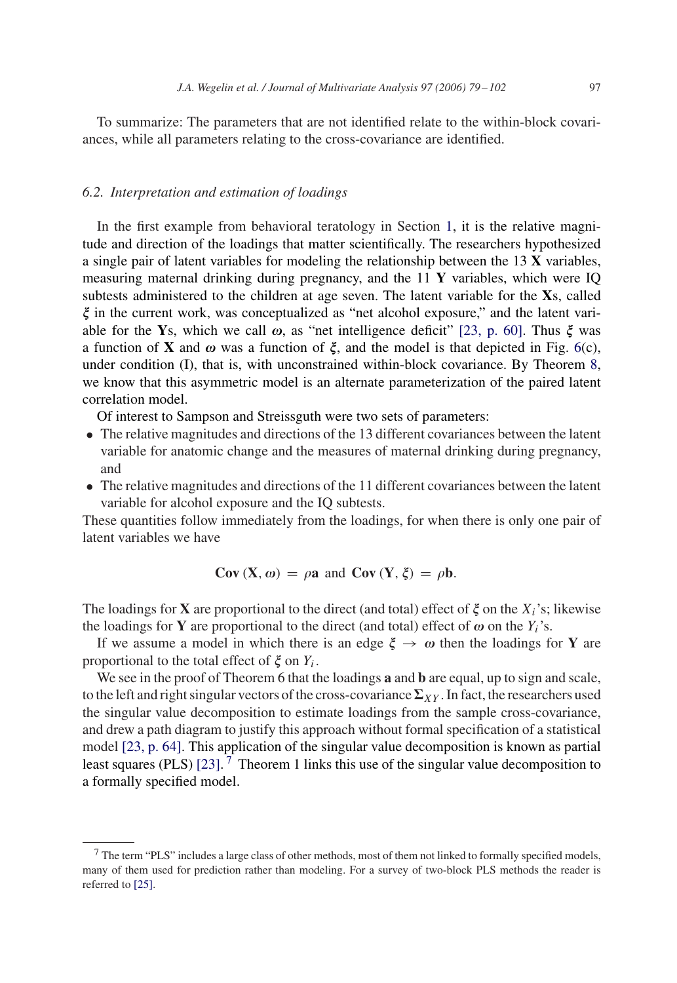To summarize: The parameters that are not identified relate to the within-block covariances, while all parameters relating to the cross-covariance are identified.

## *6.2. Interpretation and estimation of loadings*

In the first example from behavioral teratology in Section [1,](#page-1-0) it is the relative magnitude and direction of the loadings that matter scientifically. The researchers hypothesized a single pair of latent variables for modeling the relationship between the 13 **X** variables, measuring maternal drinking during pregnancy, and the 11 **Y** variables, which were IQ subtests administered to the children at age seven. The latent variable for the **X**s, called  $\xi$  in the current work, was conceptualized as "net alcohol exposure," and the latent variable for the **Y**s, which we call  $\omega$ , as "net intelligence deficit" [\[23, p. 60\].](#page-22-0) Thus  $\xi$  was a function of **X** and  $\omega$  was a function of  $\xi$ , and the model is that depicted in Fig. [6\(](#page-13-0)c), under condition (I), that is, with unconstrained within-block covariance. By Theorem [8,](#page-14-0) we know that this asymmetric model is an alternate parameterization of the paired latent correlation model.

Of interest to Sampson and Streissguth were two sets of parameters:

- The relative magnitudes and directions of the 13 different covariances between the latent variable for anatomic change and the measures of maternal drinking during pregnancy, and
- The relative magnitudes and directions of the 11 different covariances between the latent variable for alcohol exposure and the IQ subtests.

These quantities follow immediately from the loadings, for when there is only one pair of latent variables we have

$$
Cov(X, \omega) = \rho \mathbf{a} \text{ and } Cov(Y, \xi) = \rho \mathbf{b}.
$$

The loadings for **X** are proportional to the direct (and total) effect of  $\xi$  on the  $X_i$ 's; likewise the loadings for **Y** are proportional to the direct (and total) effect of  $\omega$  on the  $Y_i$ 's.

If we assume a model in which there is an edge  $\xi \to \omega$  then the loadings for Y are proportional to the total effect of  $\xi$  on  $Y_i$ .

We see in the proof of Theorem 6 that the loadings **a** and **b** are equal, up to sign and scale, to the left and right singular vectors of the cross-covariance  $\Sigma_{XY}$ . In fact, the researchers used the singular value decomposition to estimate loadings from the sample cross-covariance, and drew a path diagram to justify this approach without formal specification of a statistical model [\[23, p. 64\].](#page-22-0) This application of the singular value decomposition is known as partial least squares (PLS) [\[23\].](#page-22-0) <sup>7</sup> Theorem 1 links this use of the singular value decomposition to a formally specified model.

<sup>7</sup> The term "PLS" includes a large class of other methods, most of them not linked to formally specified models, many of them used for prediction rather than modeling. For a survey of two-block PLS methods the reader is referred to [\[25\].](#page-23-0)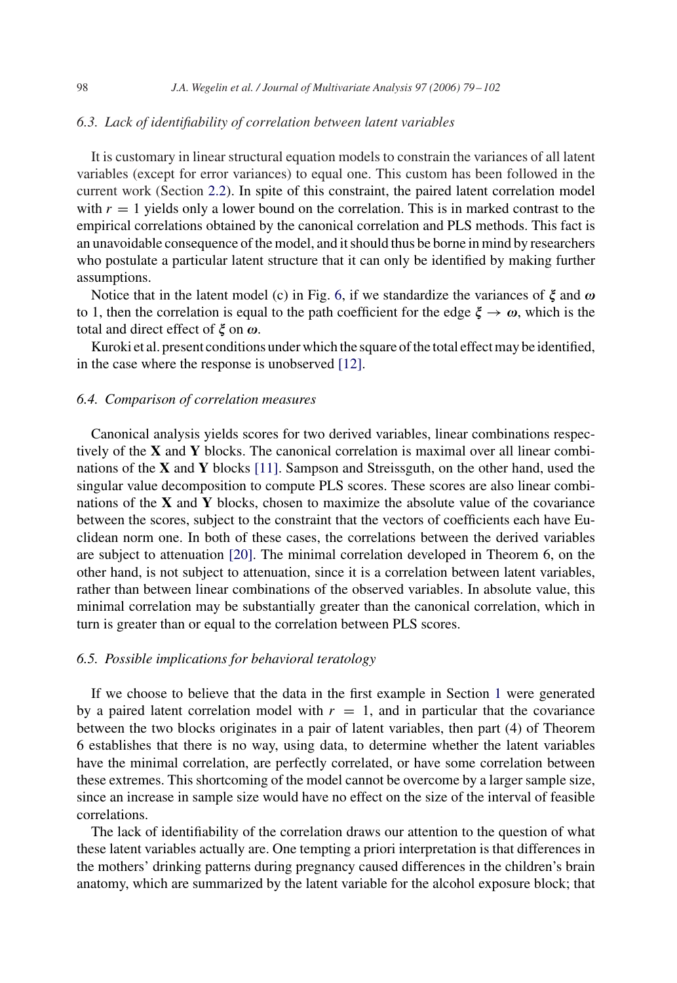## *6.3. Lack of identifiability of correlation between latent variables*

It is customary in linear structural equation models to constrain the variances of all latent variables (except for error variances) to equal one. This custom has been followed in the current work (Section [2.2\)](#page-3-0). In spite of this constraint, the paired latent correlation model with  $r = 1$  yields only a lower bound on the correlation. This is in marked contrast to the empirical correlations obtained by the canonical correlation and PLS methods. This fact is an unavoidable consequence of the model, and it should thus be borne in mind by researchers who postulate a particular latent structure that it can only be identified by making further assumptions.

Notice that in the latent model (c) in Fig. [6,](#page-13-0) if we standardize the variances of  $\xi$  and  $\omega$ to 1, then the correlation is equal to the path coefficient for the edge  $\xi \to \omega$ , which is the total and direct effect of  $\xi$  on  $\omega$ .

Kuroki et al. present conditions under which the square of the total effect may be identified, in the case where the response is unobserved [\[12\].](#page-22-0)

## *6.4. Comparison of correlation measures*

Canonical analysis yields scores for two derived variables, linear combinations respectively of the **X** and **Y** blocks. The canonical correlation is maximal over all linear combinations of the **X** and **Y** blocks [\[11\].](#page-22-0) Sampson and Streissguth, on the other hand, used the singular value decomposition to compute PLS scores. These scores are also linear combinations of the **X** and **Y** blocks, chosen to maximize the absolute value of the covariance between the scores, subject to the constraint that the vectors of coefficients each have Euclidean norm one. In both of these cases, the correlations between the derived variables are subject to attenuation [\[20\].](#page-22-0) The minimal correlation developed in Theorem 6, on the other hand, is not subject to attenuation, since it is a correlation between latent variables, rather than between linear combinations of the observed variables. In absolute value, this minimal correlation may be substantially greater than the canonical correlation, which in turn is greater than or equal to the correlation between PLS scores.

#### *6.5. Possible implications for behavioral teratology*

If we choose to believe that the data in the first example in Section [1](#page-1-0) were generated by a paired latent correlation model with  $r = 1$ , and in particular that the covariance between the two blocks originates in a pair of latent variables, then part (4) of Theorem 6 establishes that there is no way, using data, to determine whether the latent variables have the minimal correlation, are perfectly correlated, or have some correlation between these extremes. This shortcoming of the model cannot be overcome by a larger sample size, since an increase in sample size would have no effect on the size of the interval of feasible correlations.

The lack of identifiability of the correlation draws our attention to the question of what these latent variables actually are. One tempting a priori interpretation is that differences in the mothers' drinking patterns during pregnancy caused differences in the children's brain anatomy, which are summarized by the latent variable for the alcohol exposure block; that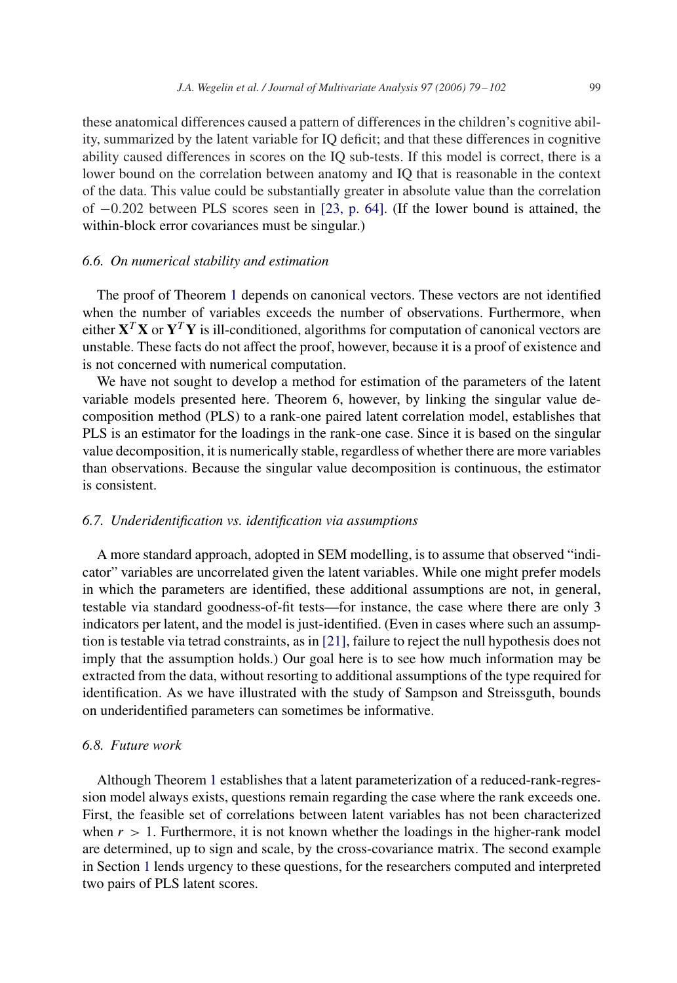these anatomical differences caused a pattern of differences in the children's cognitive ability, summarized by the latent variable for IQ deficit; and that these differences in cognitive ability caused differences in scores on the IQ sub-tests. If this model is correct, there is a lower bound on the correlation between anatomy and IQ that is reasonable in the context of the data. This value could be substantially greater in absolute value than the correlation of −0.202 between PLS scores seen in [\[23, p. 64\].](#page-22-0) (If the lower bound is attained, the within-block error covariances must be singular.)

## *6.6. On numerical stability and estimation*

The proof of Theorem [1](#page-4-0) depends on canonical vectors. These vectors are not identified when the number of variables exceeds the number of observations. Furthermore, when either  $X^T X$  or  $Y^T Y$  is ill-conditioned, algorithms for computation of canonical vectors are unstable. These facts do not affect the proof, however, because it is a proof of existence and is not concerned with numerical computation.

We have not sought to develop a method for estimation of the parameters of the latent variable models presented here. Theorem 6, however, by linking the singular value decomposition method (PLS) to a rank-one paired latent correlation model, establishes that PLS is an estimator for the loadings in the rank-one case. Since it is based on the singular value decomposition, it is numerically stable, regardless of whether there are more variables than observations. Because the singular value decomposition is continuous, the estimator is consistent.

#### *6.7. Underidentification vs. identification via assumptions*

A more standard approach, adopted in SEM modelling, is to assume that observed "indicator" variables are uncorrelated given the latent variables. While one might prefer models in which the parameters are identified, these additional assumptions are not, in general, testable via standard goodness-of-fit tests—for instance, the case where there are only 3 indicators per latent, and the model is just-identified. (Even in cases where such an assumption is testable via tetrad constraints, as in [\[21\],](#page-22-0) failure to reject the null hypothesis does not imply that the assumption holds.) Our goal here is to see how much information may be extracted from the data, without resorting to additional assumptions of the type required for identification. As we have illustrated with the study of Sampson and Streissguth, bounds on underidentified parameters can sometimes be informative.

# *6.8. Future work*

Although Theorem [1](#page-4-0) establishes that a latent parameterization of a reduced-rank-regression model always exists, questions remain regarding the case where the rank exceeds one. First, the feasible set of correlations between latent variables has not been characterized when  $r > 1$ . Furthermore, it is not known whether the loadings in the higher-rank model are determined, up to sign and scale, by the cross-covariance matrix. The second example in Section [1](#page-1-0) lends urgency to these questions, for the researchers computed and interpreted two pairs of PLS latent scores.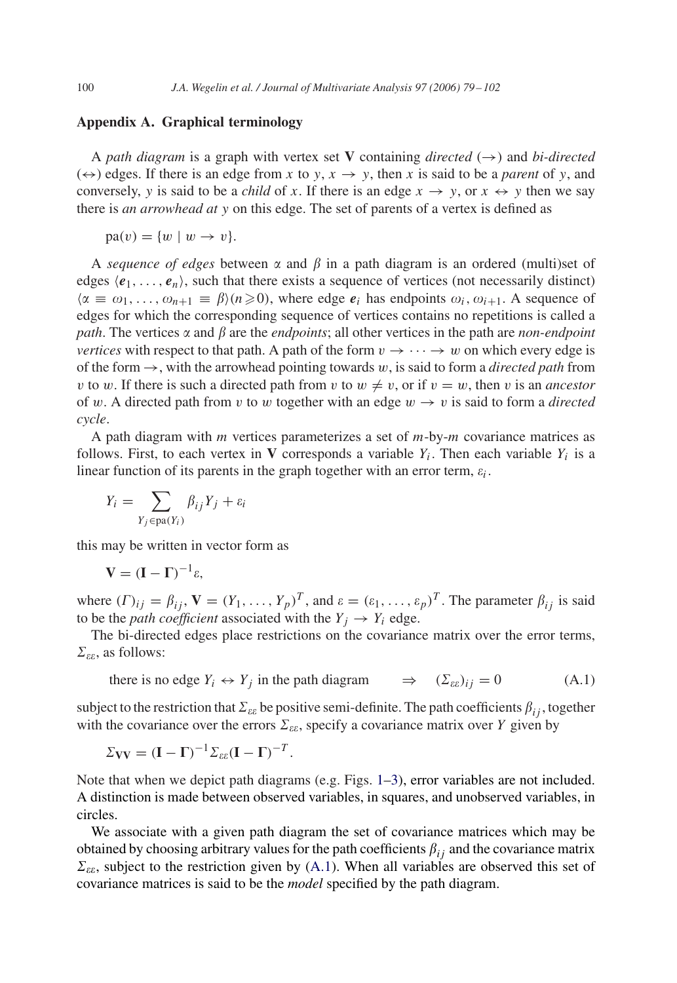## **Appendix A. Graphical terminology**

A *path diagram* is a graph with vertex set **V** containing *directed* ( $\rightarrow$ ) and *bi-directed*  $(\leftrightarrow)$  edges. If there is an edge from x to y,  $x \to y$ , then x is said to be a *parent* of y, and conversely, y is said to be a *child* of x. If there is an edge  $x \to y$ , or  $x \leftrightarrow y$  then we say there is *an arrowhead at* y on this edge. The set of parents of a vertex is defined as

 $pa(v) = \{w \mid w \rightarrow v\}.$ 

A *sequence of edges* between  $\alpha$  and  $\beta$  in a path diagram is an ordered (multi)set of edges  $\langle e_1, \ldots, e_n \rangle$ , such that there exists a sequence of vertices (not necessarily distinct)  $\langle \alpha \equiv \omega_1, \ldots, \omega_{n+1} \equiv \beta \rangle (n \geq 0)$ , where edge  $e_i$  has endpoints  $\omega_i, \omega_{i+1}$ . A sequence of edges for which the corresponding sequence of vertices contains no repetitions is called a *path*. The vertices  $\alpha$  and  $\beta$  are the *endpoints*; all other vertices in the path are *non-endpoint vertices* with respect to that path. A path of the form  $v \rightarrow \cdots \rightarrow w$  on which every edge is of the form  $\rightarrow$ , with the arrowhead pointing towards w, is said to form a *directed path* from v to w. If there is such a directed path from v to  $w \neq v$ , or if  $v = w$ , then v is an *ancestor* of w. A directed path from v to w together with an edge  $w \rightarrow v$  is said to form a *directed cycle*.

A path diagram with  $m$  vertices parameterizes a set of  $m$ -by- $m$  covariance matrices as follows. First, to each vertex in **V** corresponds a variable  $Y_i$ . Then each variable  $Y_i$  is a linear function of its parents in the graph together with an error term,  $\varepsilon_i$ .

$$
Y_i = \sum_{Y_j \in pa(Y_i)} \beta_{ij} Y_j + \varepsilon_i
$$

this may be written in vector form as

$$
V = (I - \Gamma)^{-1} \varepsilon,
$$

where  $(\Gamma)_{ij} = \beta_{ij}$ ,  $\mathbf{V} = (Y_1, \dots, Y_p)^T$ , and  $\varepsilon = (\varepsilon_1, \dots, \varepsilon_p)^T$ . The parameter  $\beta_{ij}$  is said to be the *path coefficient* associated with the  $Y_i \rightarrow Y_i$  edge.

The bi-directed edges place restrictions on the covariance matrix over the error terms,  $\Sigma_{\varepsilon\varepsilon}$ , as follows:

there is no edge  $Y_i \leftrightarrow Y_j$  in the path diagram  $_{\varepsilon})_{ij} = 0$  (A.1)

subject to the restriction that  $\Sigma_{\varepsilon\varepsilon}$  be positive semi-definite. The path coefficients  $\beta_{ij}$ , together with the covariance over the errors  $\Sigma_{\varepsilon\varepsilon}$ , specify a covariance matrix over Y given by

$$
\Sigma_{\mathbf{V}\mathbf{V}} = (\mathbf{I} - \Gamma)^{-1} \Sigma_{\varepsilon \varepsilon} (\mathbf{I} - \Gamma)^{-T}.
$$

Note that when we depict path diagrams (e.g. Figs. [1–](#page-1-0)[3\)](#page-4-0), error variables are not included. A distinction is made between observed variables, in squares, and unobserved variables, in circles.

We associate with a given path diagram the set of covariance matrices which may be obtained by choosing arbitrary values for the path coefficients  $\beta_{ij}$  and the covariance matrix  $\Sigma_{\varepsilon\varepsilon}$ , subject to the restriction given by (A.1). When all variables are observed this set of covariance matrices is said to be the *model* specified by the path diagram.

<span id="page-21-0"></span>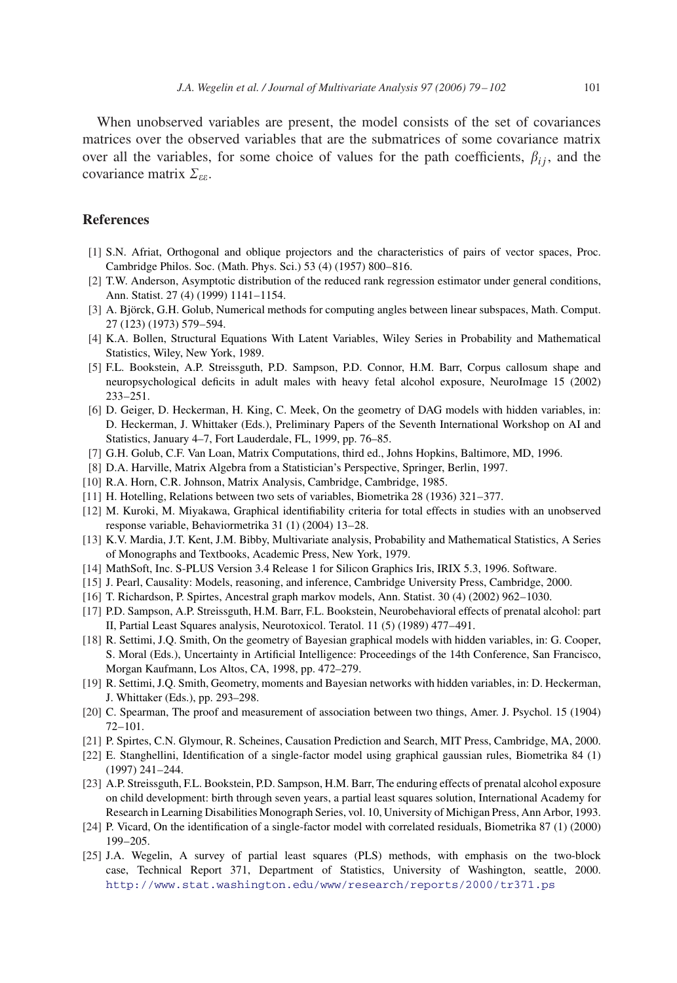<span id="page-22-0"></span>When unobserved variables are present, the model consists of the set of covariances matrices over the observed variables that are the submatrices of some covariance matrix over all the variables, for some choice of values for the path coefficients,  $\beta_{ij}$ , and the covariance matrix  $\Sigma_{\varepsilon\varepsilon}$ .

## **References**

- [1] S.N. Afriat, Orthogonal and oblique projectors and the characteristics of pairs of vector spaces, Proc. Cambridge Philos. Soc. (Math. Phys. Sci.) 53 (4) (1957) 800–816.
- [2] T.W. Anderson, Asymptotic distribution of the reduced rank regression estimator under general conditions, Ann. Statist. 27 (4) (1999) 1141–1154.
- [3] A. Björck, G.H. Golub, Numerical methods for computing angles between linear subspaces, Math. Comput. 27 (123) (1973) 579–594.
- [4] K.A. Bollen, Structural Equations With Latent Variables, Wiley Series in Probability and Mathematical Statistics, Wiley, New York, 1989.
- [5] F.L. Bookstein, A.P. Streissguth, P.D. Sampson, P.D. Connor, H.M. Barr, Corpus callosum shape and neuropsychological deficits in adult males with heavy fetal alcohol exposure, NeuroImage 15 (2002) 233–251.
- [6] D. Geiger, D. Heckerman, H. King, C. Meek, On the geometry of DAG models with hidden variables, in: D. Heckerman, J. Whittaker (Eds.), Preliminary Papers of the Seventh International Workshop on AI and Statistics, January 4–7, Fort Lauderdale, FL, 1999, pp. 76–85.
- [7] G.H. Golub, C.F. Van Loan, Matrix Computations, third ed., Johns Hopkins, Baltimore, MD, 1996.
- [8] D.A. Harville, Matrix Algebra from a Statistician's Perspective, Springer, Berlin, 1997.
- [10] R.A. Horn, C.R. Johnson, Matrix Analysis, Cambridge, Cambridge, 1985.
- [11] H. Hotelling, Relations between two sets of variables, Biometrika 28 (1936) 321–377.
- [12] M. Kuroki, M. Miyakawa, Graphical identifiability criteria for total effects in studies with an unobserved response variable, Behaviormetrika 31 (1) (2004) 13–28.
- [13] K.V. Mardia, J.T. Kent, J.M. Bibby, Multivariate analysis, Probability and Mathematical Statistics, A Series of Monographs and Textbooks, Academic Press, New York, 1979.
- [14] MathSoft, Inc. S-PLUS Version 3.4 Release 1 for Silicon Graphics Iris, IRIX 5.3, 1996. Software.
- [15] J. Pearl, Causality: Models, reasoning, and inference, Cambridge University Press, Cambridge, 2000.
- [16] T. Richardson, P. Spirtes, Ancestral graph markov models, Ann. Statist. 30 (4) (2002) 962–1030.
- [17] P.D. Sampson, A.P. Streissguth, H.M. Barr, F.L. Bookstein, Neurobehavioral effects of prenatal alcohol: part II, Partial Least Squares analysis, Neurotoxicol. Teratol. 11 (5) (1989) 477–491.
- [18] R. Settimi, J.Q. Smith, On the geometry of Bayesian graphical models with hidden variables, in: G. Cooper, S. Moral (Eds.), Uncertainty in Artificial Intelligence: Proceedings of the 14th Conference, San Francisco, Morgan Kaufmann, Los Altos, CA, 1998, pp. 472–279.
- [19] R. Settimi, J.Q. Smith, Geometry, moments and Bayesian networks with hidden variables, in: D. Heckerman, J. Whittaker (Eds.), pp. 293–298.
- [20] C. Spearman, The proof and measurement of association between two things, Amer. J. Psychol. 15 (1904) 72–101.
- [21] P. Spirtes, C.N. Glymour, R. Scheines, Causation Prediction and Search, MIT Press, Cambridge, MA, 2000.
- [22] E. Stanghellini, Identification of a single-factor model using graphical gaussian rules, Biometrika 84 (1) (1997) 241–244.
- [23] A.P. Streissguth, F.L. Bookstein, P.D. Sampson, H.M. Barr, The enduring effects of prenatal alcohol exposure on child development: birth through seven years, a partial least squares solution, International Academy for Research in Learning Disabilities Monograph Series, vol. 10, University of Michigan Press, Ann Arbor, 1993.
- [24] P. Vicard, On the identification of a single-factor model with correlated residuals, Biometrika 87 (1) (2000) 199–205.
- [25] J.A. Wegelin, A survey of partial least squares (PLS) methods, with emphasis on the two-block case, Technical Report 371, Department of Statistics, University of Washington, seattle, 2000. <http://www.stat.washington.edu/www/research/reports/2000/tr371.ps>